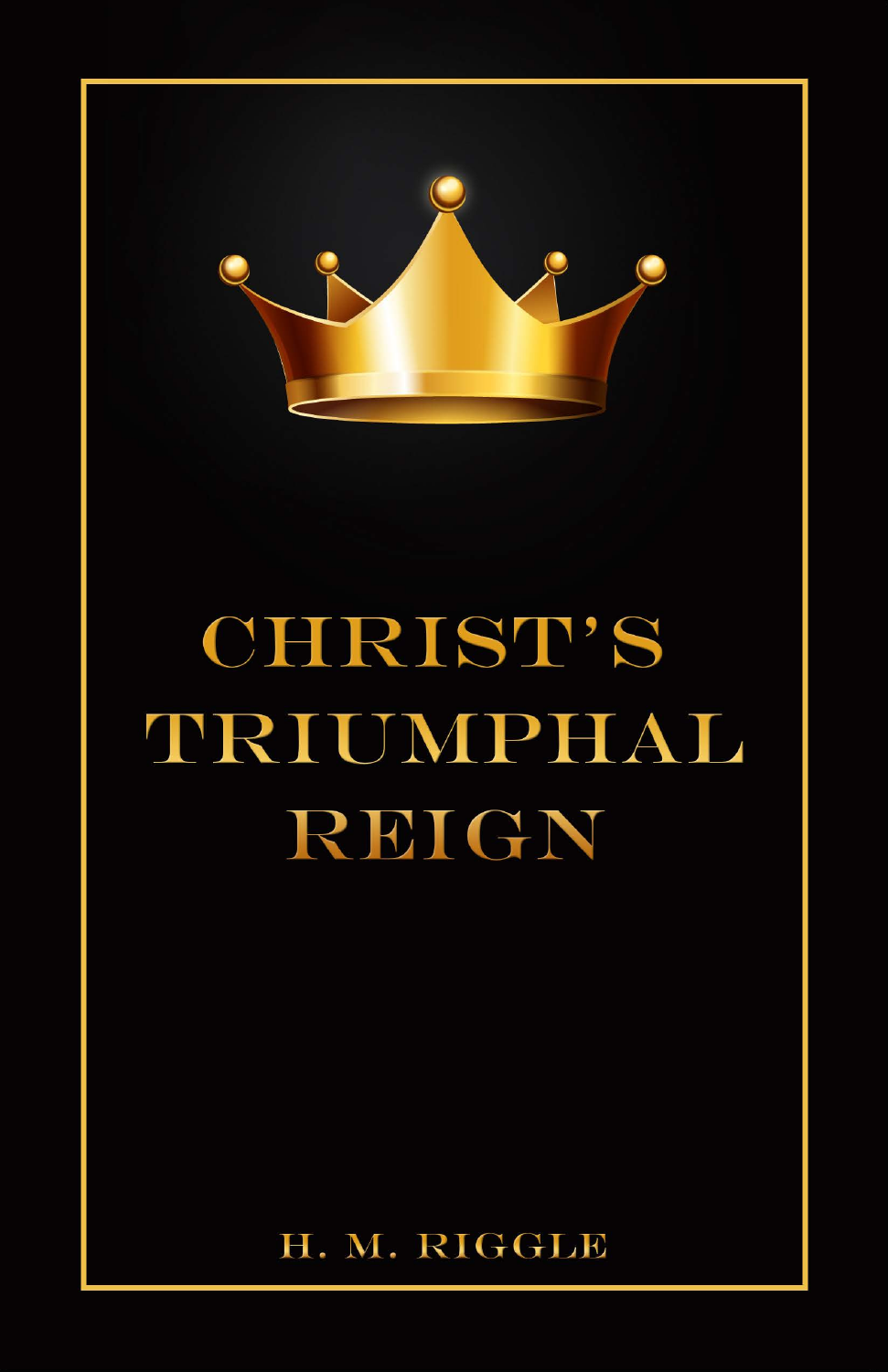

# **CHRIST'S TIRTUMPHAL** REIGN

# H. M. RIGGLE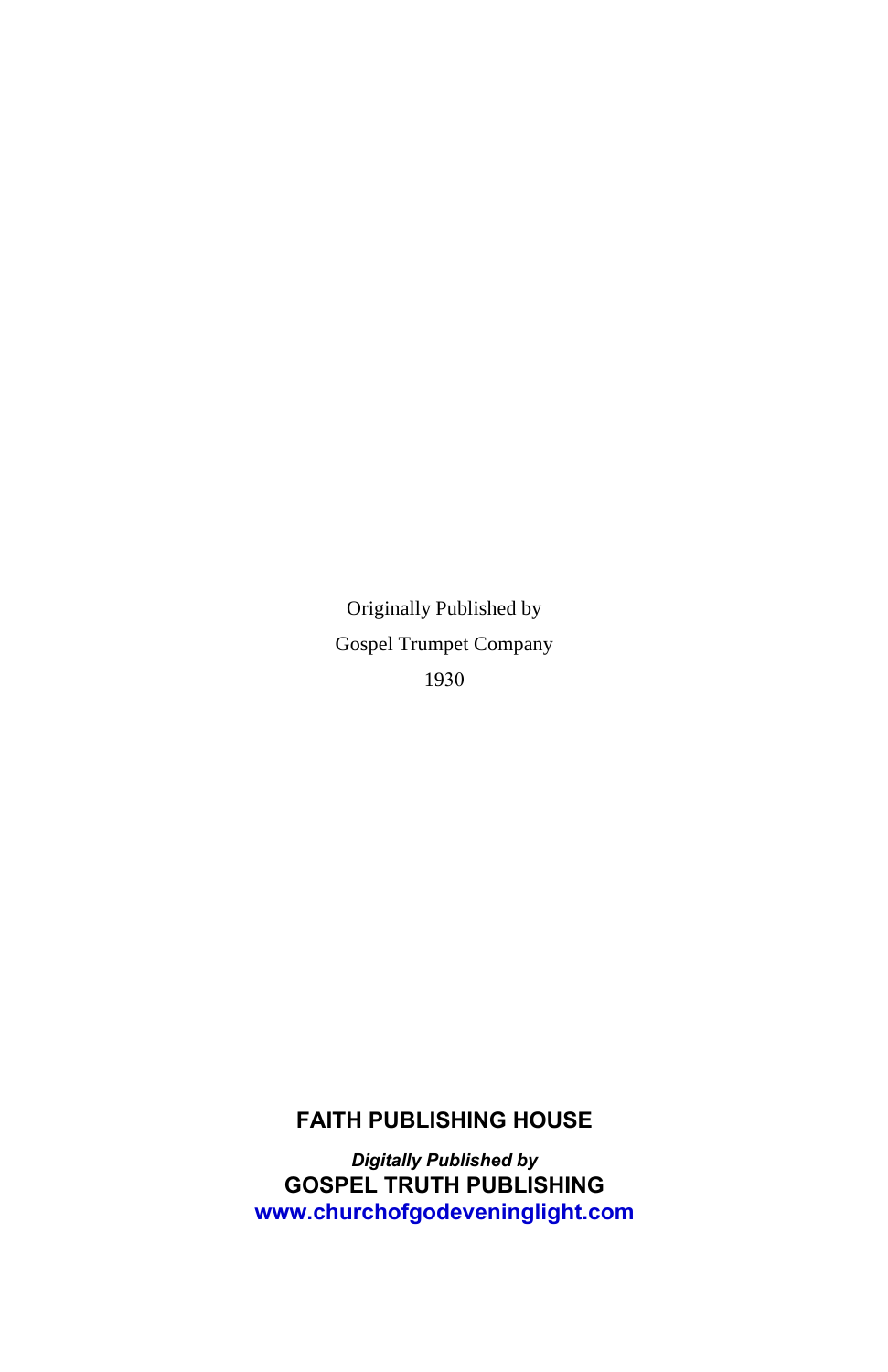Originally Published by Gospel Trumpet Company 1930

#### **FAITH PUBLISHING HOUSE**

*Digitally Published by* **GOSPEL TRUTH PUBLISHING <www.churchofgodeveninglight.com>**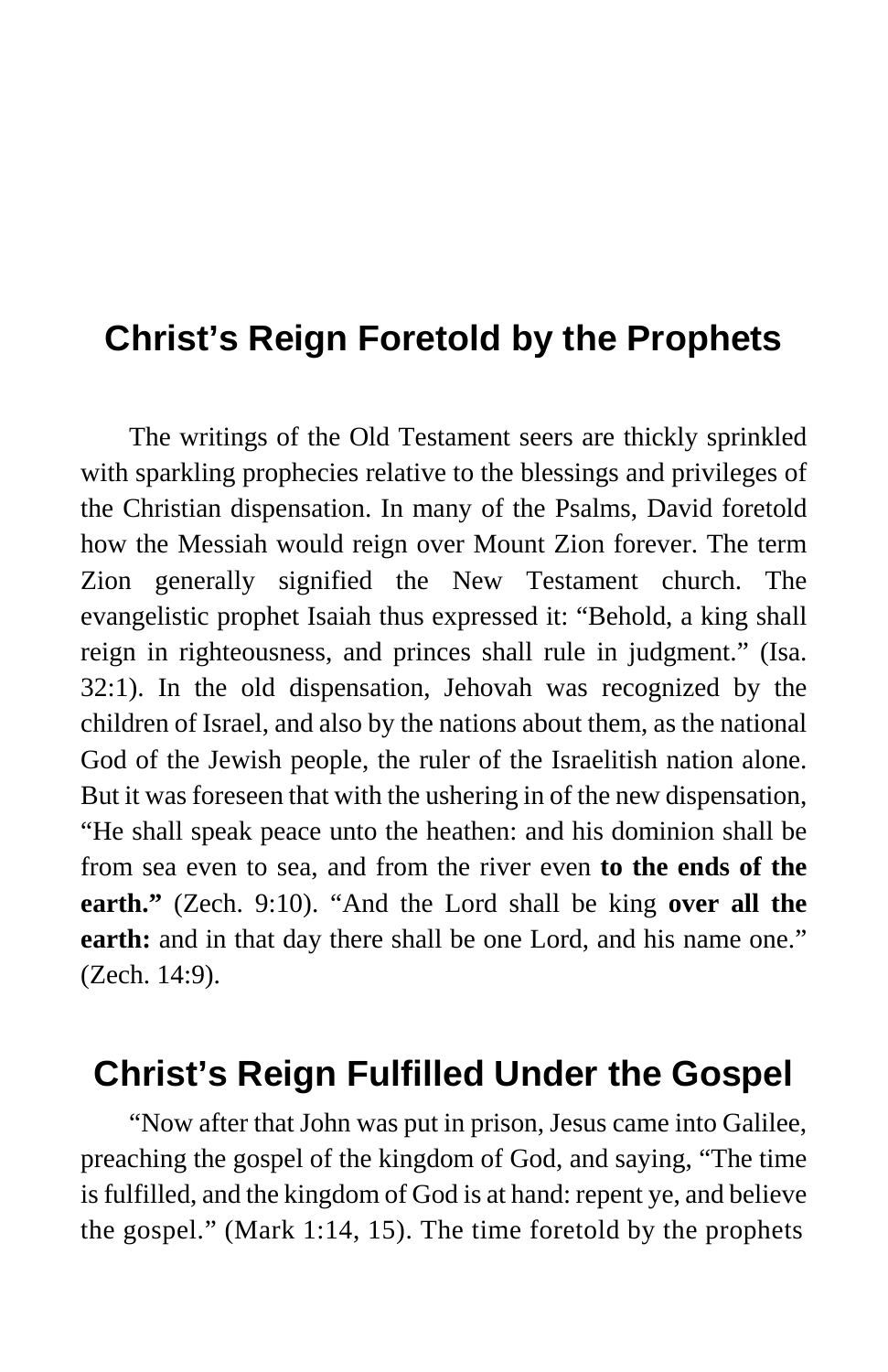# **Christ's Reign Foretold by the Prophets**

The writings of the Old Testament seers are thickly sprinkled with sparkling prophecies relative to the blessings and privileges of the Christian dispensation. In many of the Psalms, David foretold how the Messiah would reign over Mount Zion forever. The term Zion generally signified the New Testament church. The evangelistic prophet Isaiah thus expressed it: "Behold, a king shall reign in righteousness, and princes shall rule in judgment." (Isa. 32:1). In the old dispensation, Jehovah was recognized by the children of Israel, and also by the nations about them, as the national God of the Jewish people, the ruler of the Israelitish nation alone. But it was foreseen that with the ushering in of the new dispensation, "He shall speak peace unto the heathen: and his dominion shall be from sea even to sea, and from the river even **to the ends of the earth."** (Zech. 9:10). "And the Lord shall be king **over all the earth:** and in that day there shall be one Lord, and his name one." (Zech. 14:9).

## **Christ's Reign Fulfilled Under the Gospel**

"Now after that John was put in prison, Jesus came into Galilee, preaching the gospel of the kingdom of God, and saying, "The time is fulfilled, and the kingdom of God is at hand: repent ye, and believe the gospel." (Mark 1:14, 15). The time foretold by the prophets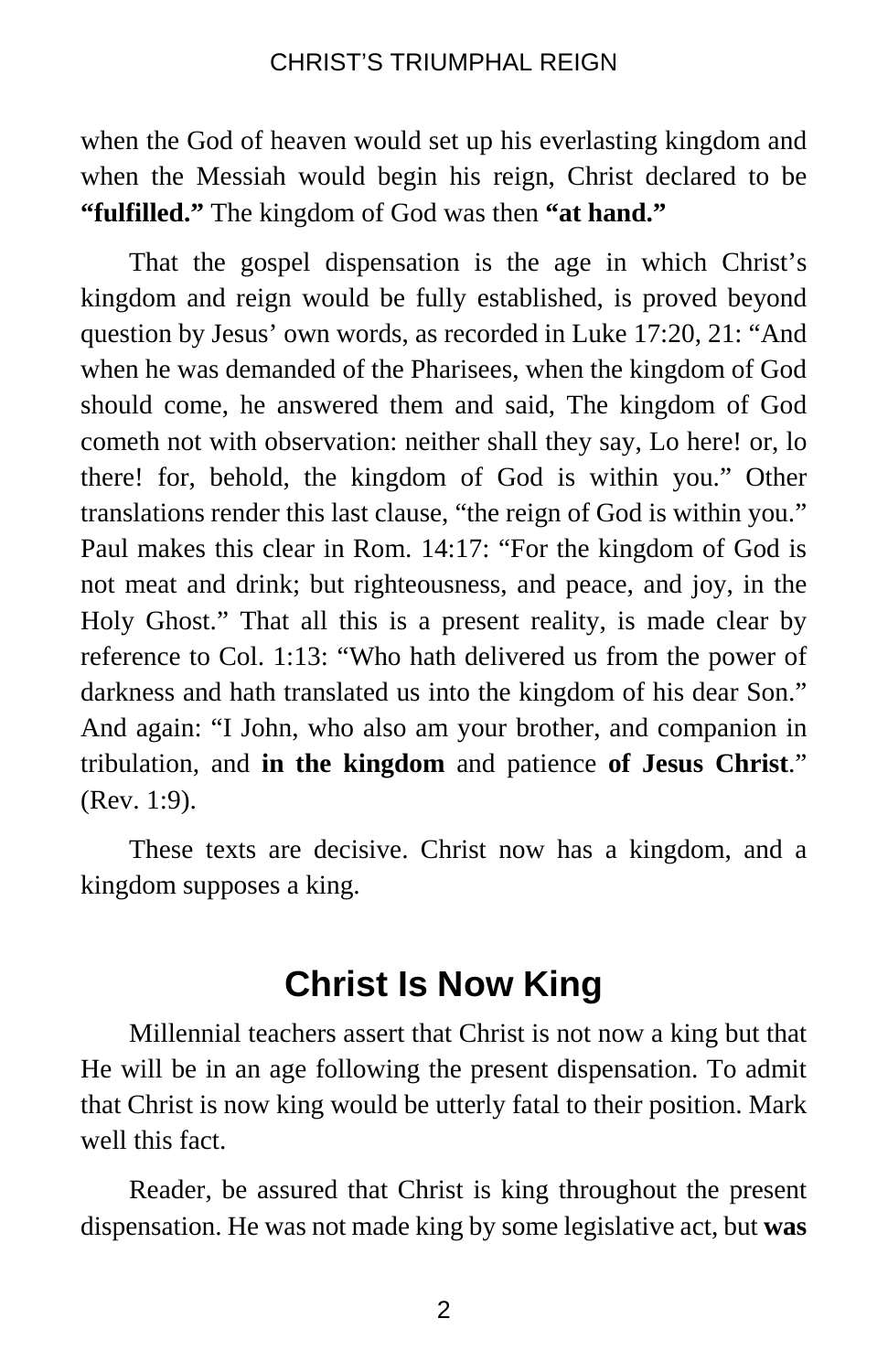when the God of heaven would set up his everlasting kingdom and when the Messiah would begin his reign, Christ declared to be **"fulfilled."** The kingdom of God was then **"at hand."**

That the gospel dispensation is the age in which Christ's kingdom and reign would be fully established, is proved beyond question by Jesus' own words, as recorded in Luke 17:20, 21: "And when he was demanded of the Pharisees, when the kingdom of God should come, he answered them and said, The kingdom of God cometh not with observation: neither shall they say, Lo here! or, lo there! for, behold, the kingdom of God is within you." Other translations render this last clause, "the reign of God is within you." Paul makes this clear in Rom. 14:17: "For the kingdom of God is not meat and drink; but righteousness, and peace, and joy, in the Holy Ghost." That all this is a present reality, is made clear by reference to Col. 1:13: "Who hath delivered us from the power of darkness and hath translated us into the kingdom of his dear Son." And again: "I John, who also am your brother, and companion in tribulation, and **in the kingdom** and patience **of Jesus Christ**." (Rev. 1:9).

These texts are decisive. Christ now has a kingdom, and a kingdom supposes a king.

## **Christ Is Now King**

Millennial teachers assert that Christ is not now a king but that He will be in an age following the present dispensation. To admit that Christ is now king would be utterly fatal to their position. Mark well this fact.

Reader, be assured that Christ is king throughout the present dispensation. He was not made king by some legislative act, but **was**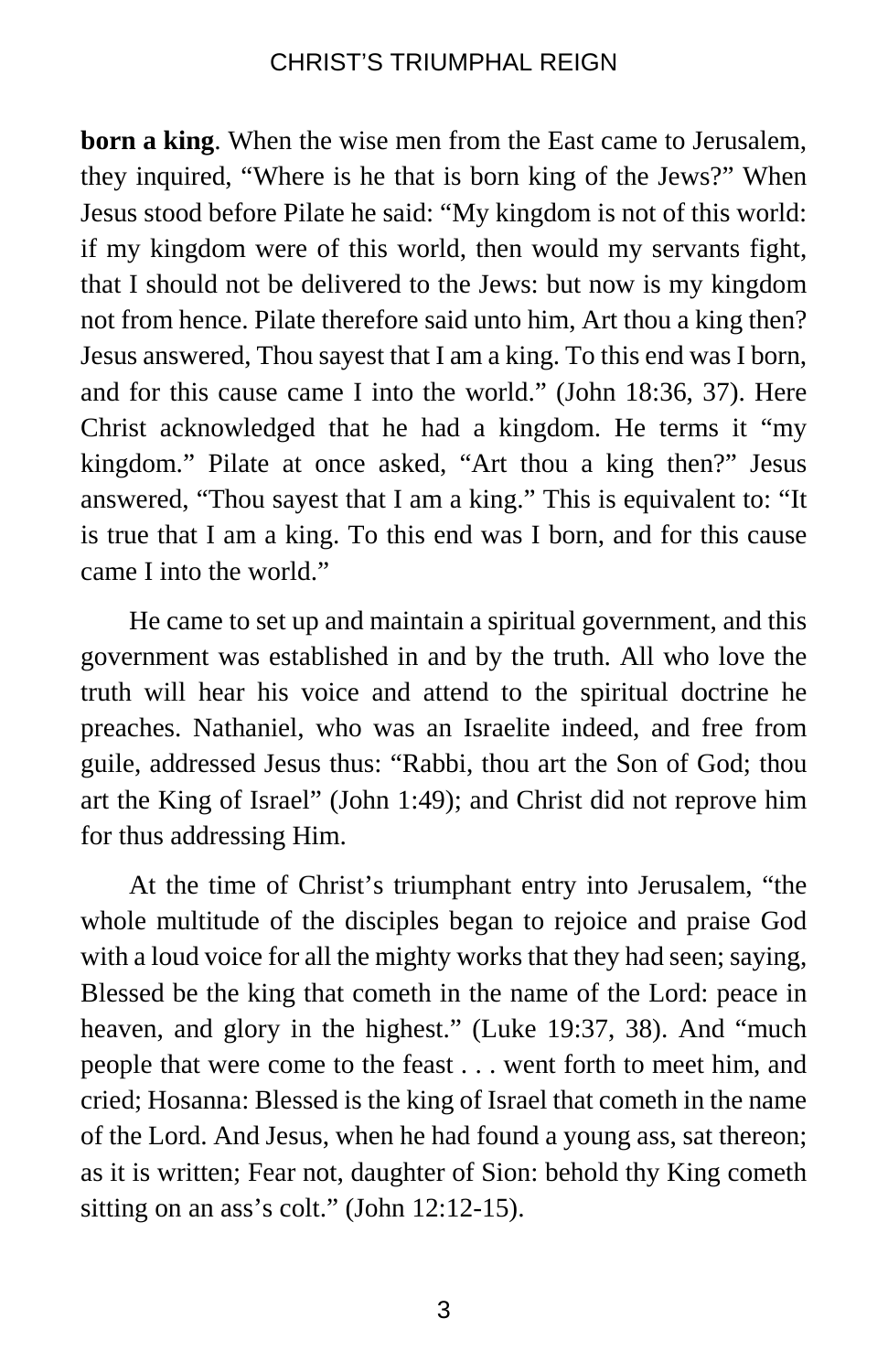**born a king**. When the wise men from the East came to Jerusalem, they inquired, "Where is he that is born king of the Jews?" When Jesus stood before Pilate he said: "My kingdom is not of this world: if my kingdom were of this world, then would my servants fight, that I should not be delivered to the Jews: but now is my kingdom not from hence. Pilate therefore said unto him, Art thou a king then? Jesus answered, Thou sayest that I am a king. To this end was I born, and for this cause came I into the world." (John 18:36, 37). Here Christ acknowledged that he had a kingdom. He terms it "my kingdom." Pilate at once asked, "Art thou a king then?" Jesus answered, "Thou sayest that I am a king." This is equivalent to: "It is true that I am a king. To this end was I born, and for this cause came I into the world."

He came to set up and maintain a spiritual government, and this government was established in and by the truth. All who love the truth will hear his voice and attend to the spiritual doctrine he preaches. Nathaniel, who was an Israelite indeed, and free from guile, addressed Jesus thus: "Rabbi, thou art the Son of God; thou art the King of Israel" (John 1:49); and Christ did not reprove him for thus addressing Him.

At the time of Christ's triumphant entry into Jerusalem, "the whole multitude of the disciples began to rejoice and praise God with a loud voice for all the mighty works that they had seen; saying, Blessed be the king that cometh in the name of the Lord: peace in heaven, and glory in the highest." (Luke 19:37, 38). And "much people that were come to the feast . . . went forth to meet him, and cried; Hosanna: Blessed is the king of Israel that cometh in the name of the Lord. And Jesus, when he had found a young ass, sat thereon; as it is written; Fear not, daughter of Sion: behold thy King cometh sitting on an ass's colt." (John 12:12-15).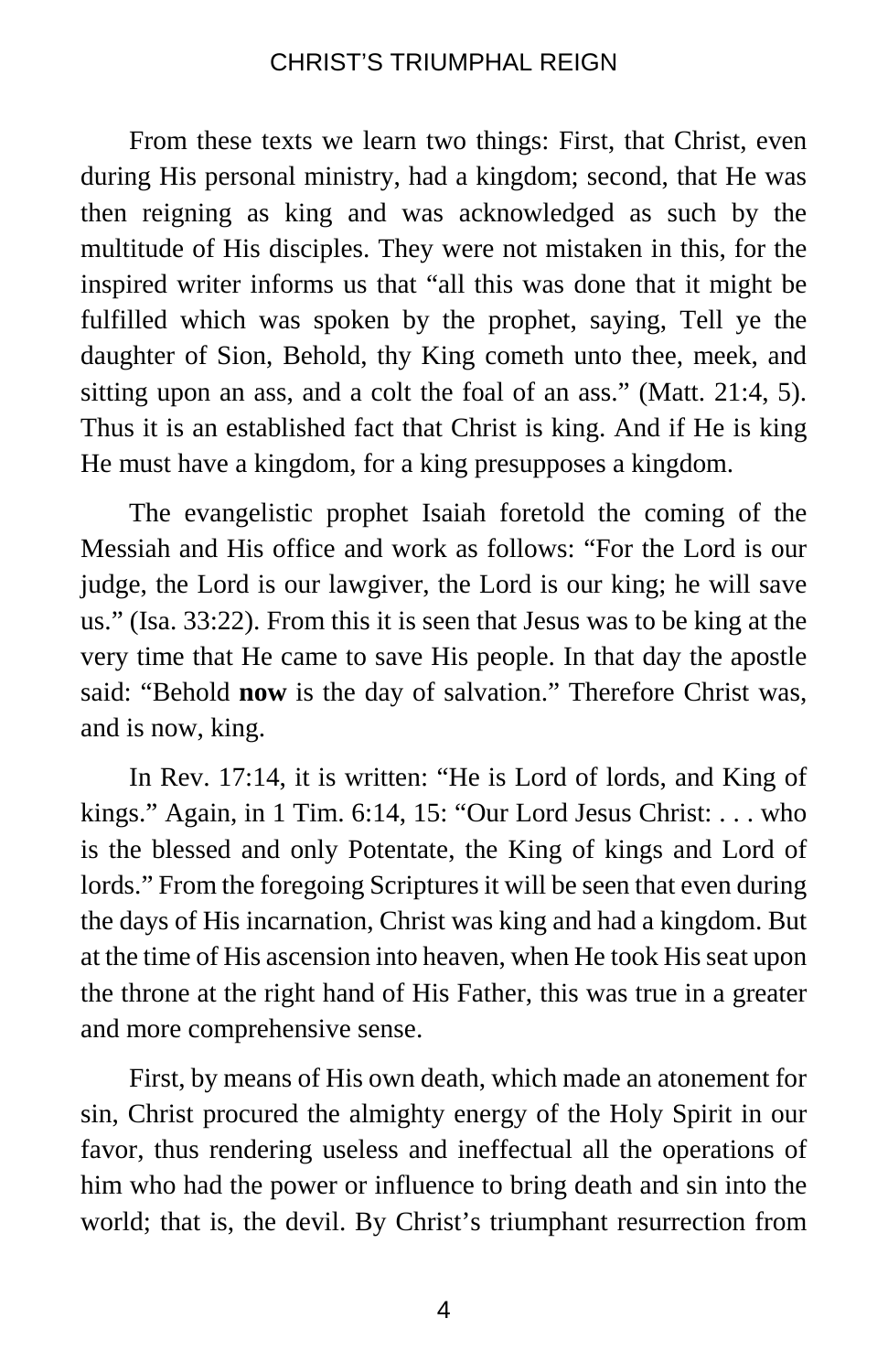From these texts we learn two things: First, that Christ, even during His personal ministry, had a kingdom; second, that He was then reigning as king and was acknowledged as such by the multitude of His disciples. They were not mistaken in this, for the inspired writer informs us that "all this was done that it might be fulfilled which was spoken by the prophet, saying, Tell ye the daughter of Sion, Behold, thy King cometh unto thee, meek, and sitting upon an ass, and a colt the foal of an ass." (Matt. 21:4, 5). Thus it is an established fact that Christ is king. And if He is king He must have a kingdom, for a king presupposes a kingdom.

The evangelistic prophet Isaiah foretold the coming of the Messiah and His office and work as follows: "For the Lord is our judge, the Lord is our lawgiver, the Lord is our king; he will save us." (Isa. 33:22). From this it is seen that Jesus was to be king at the very time that He came to save His people. In that day the apostle said: "Behold **now** is the day of salvation." Therefore Christ was, and is now, king.

In Rev. 17:14, it is written: "He is Lord of lords, and King of kings." Again, in 1 Tim. 6:14, 15: "Our Lord Jesus Christ: . . . who is the blessed and only Potentate, the King of kings and Lord of lords." From the foregoing Scriptures it will be seen that even during the days of His incarnation, Christ was king and had a kingdom. But at the time of His ascension into heaven, when He took His seat upon the throne at the right hand of His Father, this was true in a greater and more comprehensive sense.

First, by means of His own death, which made an atonement for sin, Christ procured the almighty energy of the Holy Spirit in our favor, thus rendering useless and ineffectual all the operations of him who had the power or influence to bring death and sin into the world; that is, the devil. By Christ's triumphant resurrection from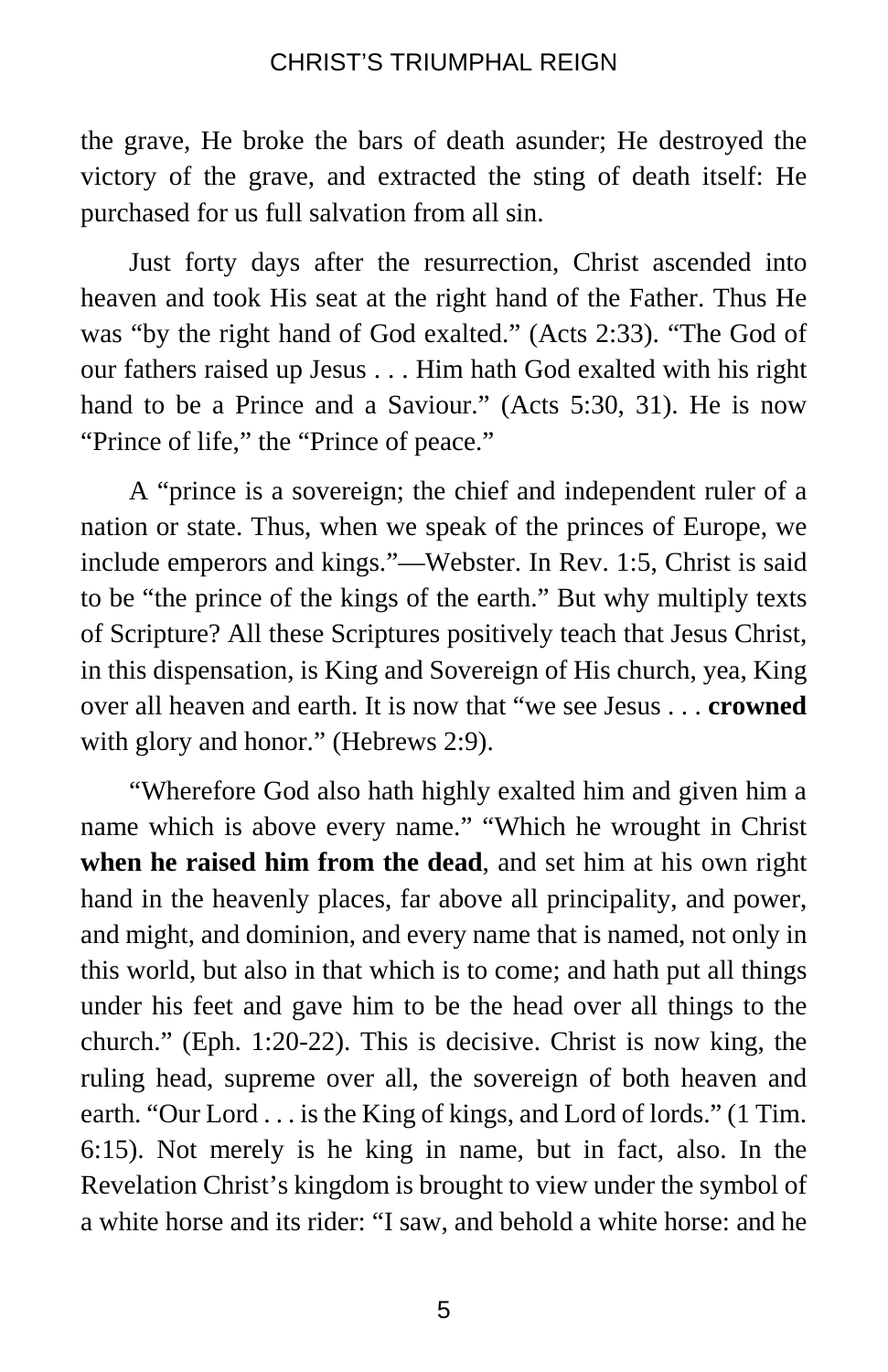the grave, He broke the bars of death asunder; He destroyed the victory of the grave, and extracted the sting of death itself: He purchased for us full salvation from all sin.

Just forty days after the resurrection, Christ ascended into heaven and took His seat at the right hand of the Father. Thus He was "by the right hand of God exalted." (Acts 2:33). "The God of our fathers raised up Jesus . . . Him hath God exalted with his right hand to be a Prince and a Saviour." (Acts 5:30, 31). He is now "Prince of life," the "Prince of peace."

A "prince is a sovereign; the chief and independent ruler of a nation or state. Thus, when we speak of the princes of Europe, we include emperors and kings."—Webster. In Rev. 1:5, Christ is said to be "the prince of the kings of the earth." But why multiply texts of Scripture? All these Scriptures positively teach that Jesus Christ, in this dispensation, is King and Sovereign of His church, yea, King over all heaven and earth. It is now that "we see Jesus . . . **crowned** with glory and honor." (Hebrews 2:9).

"Wherefore God also hath highly exalted him and given him a name which is above every name." "Which he wrought in Christ **when he raised him from the dead**, and set him at his own right hand in the heavenly places, far above all principality, and power, and might, and dominion, and every name that is named, not only in this world, but also in that which is to come; and hath put all things under his feet and gave him to be the head over all things to the church." (Eph. 1:20-22). This is decisive. Christ is now king, the ruling head, supreme over all, the sovereign of both heaven and earth. "Our Lord . . . is the King of kings, and Lord of lords." (1 Tim. 6:15). Not merely is he king in name, but in fact, also. In the Revelation Christ's kingdom is brought to view under the symbol of a white horse and its rider: "I saw, and behold a white horse: and he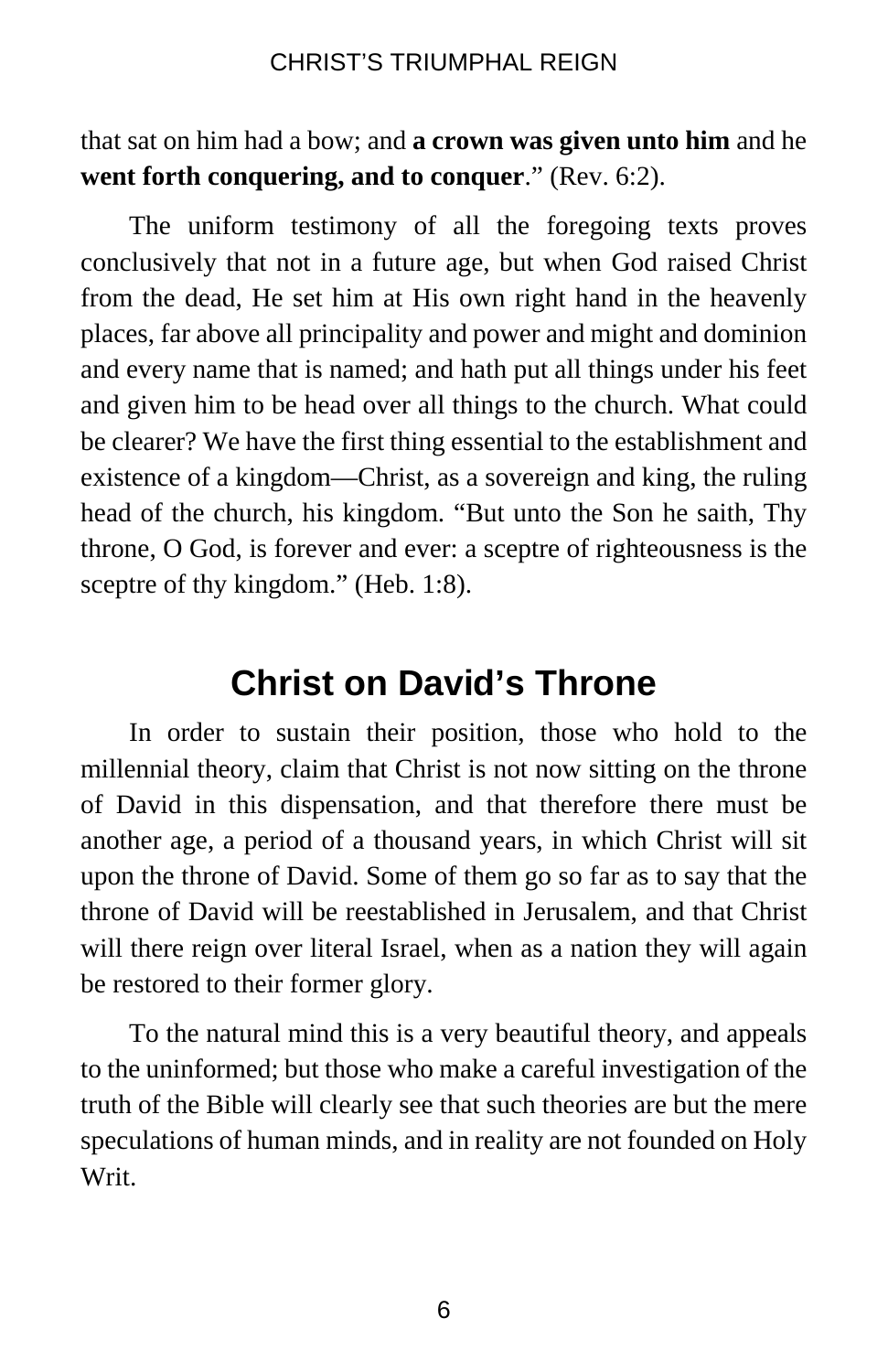that sat on him had a bow; and **a crown was given unto him** and he **went forth conquering, and to conquer**." (Rev. 6:2).

The uniform testimony of all the foregoing texts proves conclusively that not in a future age, but when God raised Christ from the dead, He set him at His own right hand in the heavenly places, far above all principality and power and might and dominion and every name that is named; and hath put all things under his feet and given him to be head over all things to the church. What could be clearer? We have the first thing essential to the establishment and existence of a kingdom—Christ, as a sovereign and king, the ruling head of the church, his kingdom. "But unto the Son he saith, Thy throne, O God, is forever and ever: a sceptre of righteousness is the sceptre of thy kingdom." (Heb. 1:8).

# **Christ on David's Throne**

In order to sustain their position, those who hold to the millennial theory, claim that Christ is not now sitting on the throne of David in this dispensation, and that therefore there must be another age, a period of a thousand years, in which Christ will sit upon the throne of David. Some of them go so far as to say that the throne of David will be reestablished in Jerusalem, and that Christ will there reign over literal Israel, when as a nation they will again be restored to their former glory.

To the natural mind this is a very beautiful theory, and appeals to the uninformed; but those who make a careful investigation of the truth of the Bible will clearly see that such theories are but the mere speculations of human minds, and in reality are not founded on Holy Writ.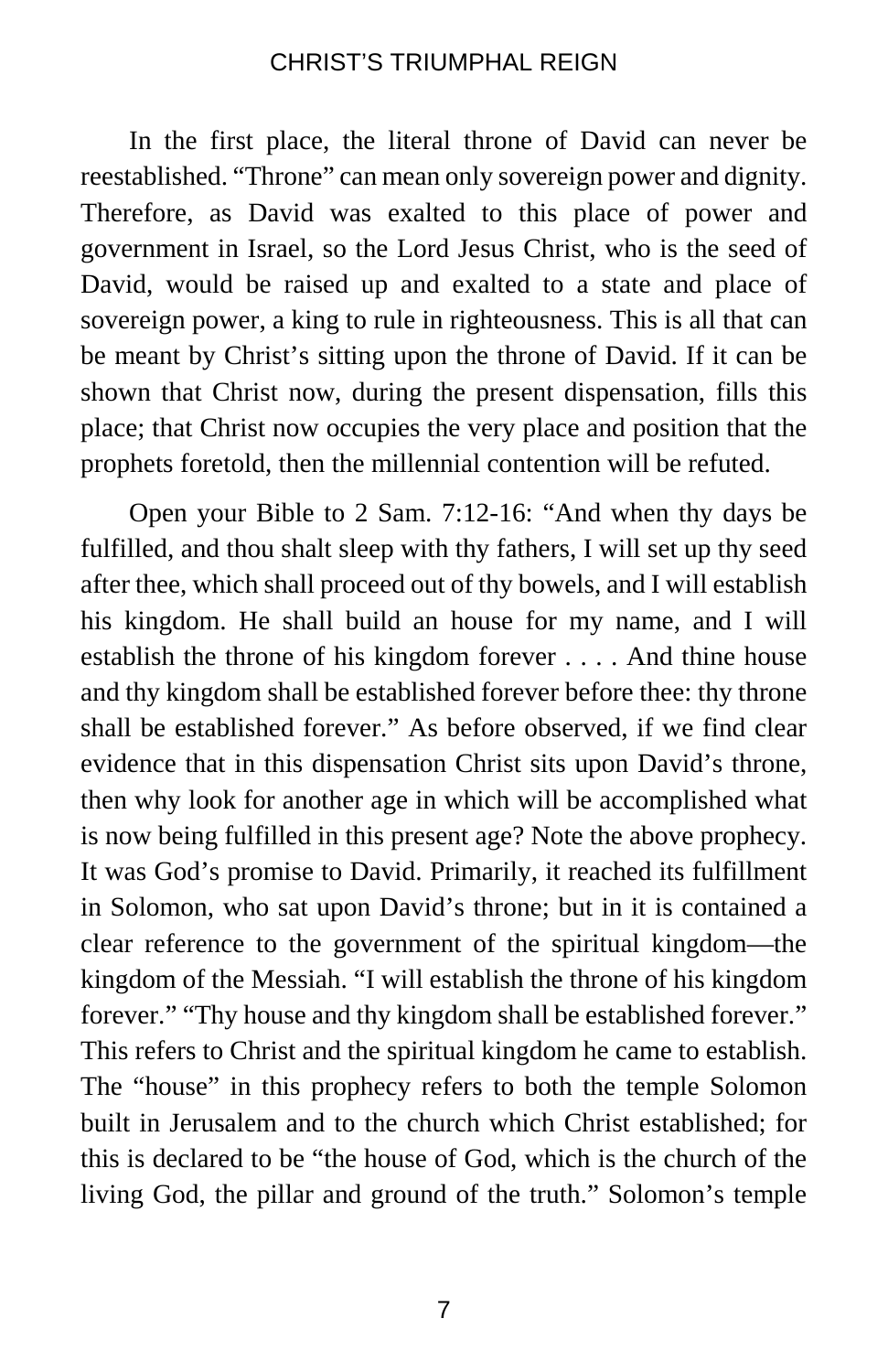In the first place, the literal throne of David can never be reestablished. "Throne" can mean only sovereign power and dignity. Therefore, as David was exalted to this place of power and government in Israel, so the Lord Jesus Christ, who is the seed of David, would be raised up and exalted to a state and place of sovereign power, a king to rule in righteousness. This is all that can be meant by Christ's sitting upon the throne of David. If it can be shown that Christ now, during the present dispensation, fills this place; that Christ now occupies the very place and position that the prophets foretold, then the millennial contention will be refuted.

Open your Bible to 2 Sam. 7:12-16: "And when thy days be fulfilled, and thou shalt sleep with thy fathers, I will set up thy seed after thee, which shall proceed out of thy bowels, and I will establish his kingdom. He shall build an house for my name, and I will establish the throne of his kingdom forever . . . . And thine house and thy kingdom shall be established forever before thee: thy throne shall be established forever." As before observed, if we find clear evidence that in this dispensation Christ sits upon David's throne, then why look for another age in which will be accomplished what is now being fulfilled in this present age? Note the above prophecy. It was God's promise to David. Primarily, it reached its fulfillment in Solomon, who sat upon David's throne; but in it is contained a clear reference to the government of the spiritual kingdom—the kingdom of the Messiah. "I will establish the throne of his kingdom forever." "Thy house and thy kingdom shall be established forever." This refers to Christ and the spiritual kingdom he came to establish. The "house" in this prophecy refers to both the temple Solomon built in Jerusalem and to the church which Christ established; for this is declared to be "the house of God, which is the church of the living God, the pillar and ground of the truth." Solomon's temple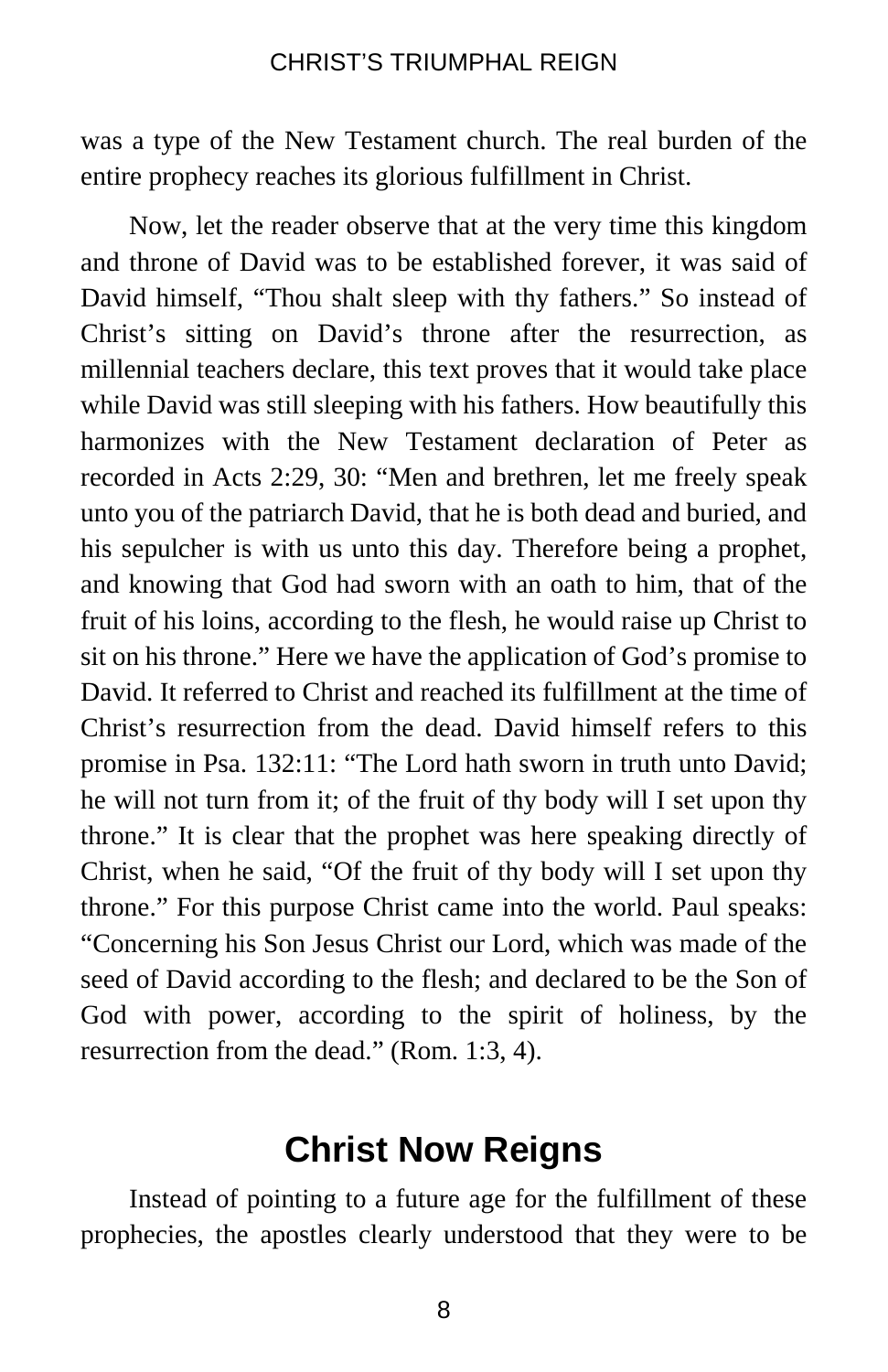was a type of the New Testament church. The real burden of the entire prophecy reaches its glorious fulfillment in Christ.

Now, let the reader observe that at the very time this kingdom and throne of David was to be established forever, it was said of David himself, "Thou shalt sleep with thy fathers." So instead of Christ's sitting on David's throne after the resurrection, as millennial teachers declare, this text proves that it would take place while David was still sleeping with his fathers. How beautifully this harmonizes with the New Testament declaration of Peter as recorded in Acts 2:29, 30: "Men and brethren, let me freely speak unto you of the patriarch David, that he is both dead and buried, and his sepulcher is with us unto this day. Therefore being a prophet, and knowing that God had sworn with an oath to him, that of the fruit of his loins, according to the flesh, he would raise up Christ to sit on his throne." Here we have the application of God's promise to David. It referred to Christ and reached its fulfillment at the time of Christ's resurrection from the dead. David himself refers to this promise in Psa. 132:11: "The Lord hath sworn in truth unto David; he will not turn from it; of the fruit of thy body will I set upon thy throne." It is clear that the prophet was here speaking directly of Christ, when he said, "Of the fruit of thy body will I set upon thy throne." For this purpose Christ came into the world. Paul speaks: "Concerning his Son Jesus Christ our Lord, which was made of the seed of David according to the flesh; and declared to be the Son of God with power, according to the spirit of holiness, by the resurrection from the dead." (Rom. 1:3, 4).

# **Christ Now Reigns**

Instead of pointing to a future age for the fulfillment of these prophecies, the apostles clearly understood that they were to be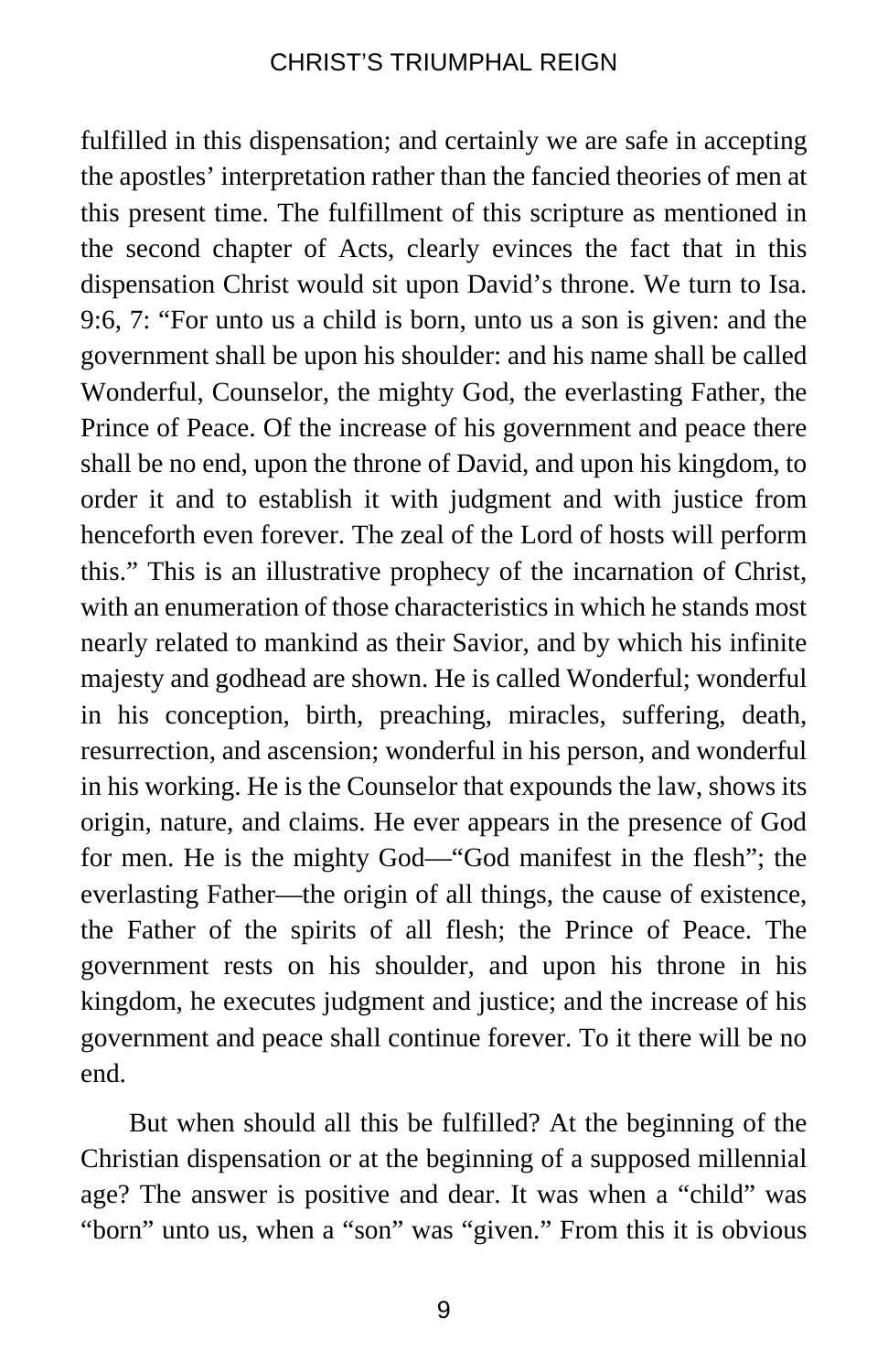fulfilled in this dispensation; and certainly we are safe in accepting the apostles' interpretation rather than the fancied theories of men at this present time. The fulfillment of this scripture as mentioned in the second chapter of Acts, clearly evinces the fact that in this dispensation Christ would sit upon David's throne. We turn to Isa. 9:6, 7: "For unto us a child is born, unto us a son is given: and the government shall be upon his shoulder: and his name shall be called Wonderful, Counselor, the mighty God, the everlasting Father, the Prince of Peace. Of the increase of his government and peace there shall be no end, upon the throne of David, and upon his kingdom, to order it and to establish it with judgment and with justice from henceforth even forever. The zeal of the Lord of hosts will perform this." This is an illustrative prophecy of the incarnation of Christ, with an enumeration of those characteristics in which he stands most nearly related to mankind as their Savior, and by which his infinite majesty and godhead are shown. He is called Wonderful; wonderful in his conception, birth, preaching, miracles, suffering, death, resurrection, and ascension; wonderful in his person, and wonderful in his working. He is the Counselor that expounds the law, shows its origin, nature, and claims. He ever appears in the presence of God for men. He is the mighty God—"God manifest in the flesh"; the everlasting Father—the origin of all things, the cause of existence, the Father of the spirits of all flesh; the Prince of Peace. The government rests on his shoulder, and upon his throne in his kingdom, he executes judgment and justice; and the increase of his government and peace shall continue forever. To it there will be no end.

But when should all this be fulfilled? At the beginning of the Christian dispensation or at the beginning of a supposed millennial age? The answer is positive and dear. It was when a "child" was "born" unto us, when a "son" was "given." From this it is obvious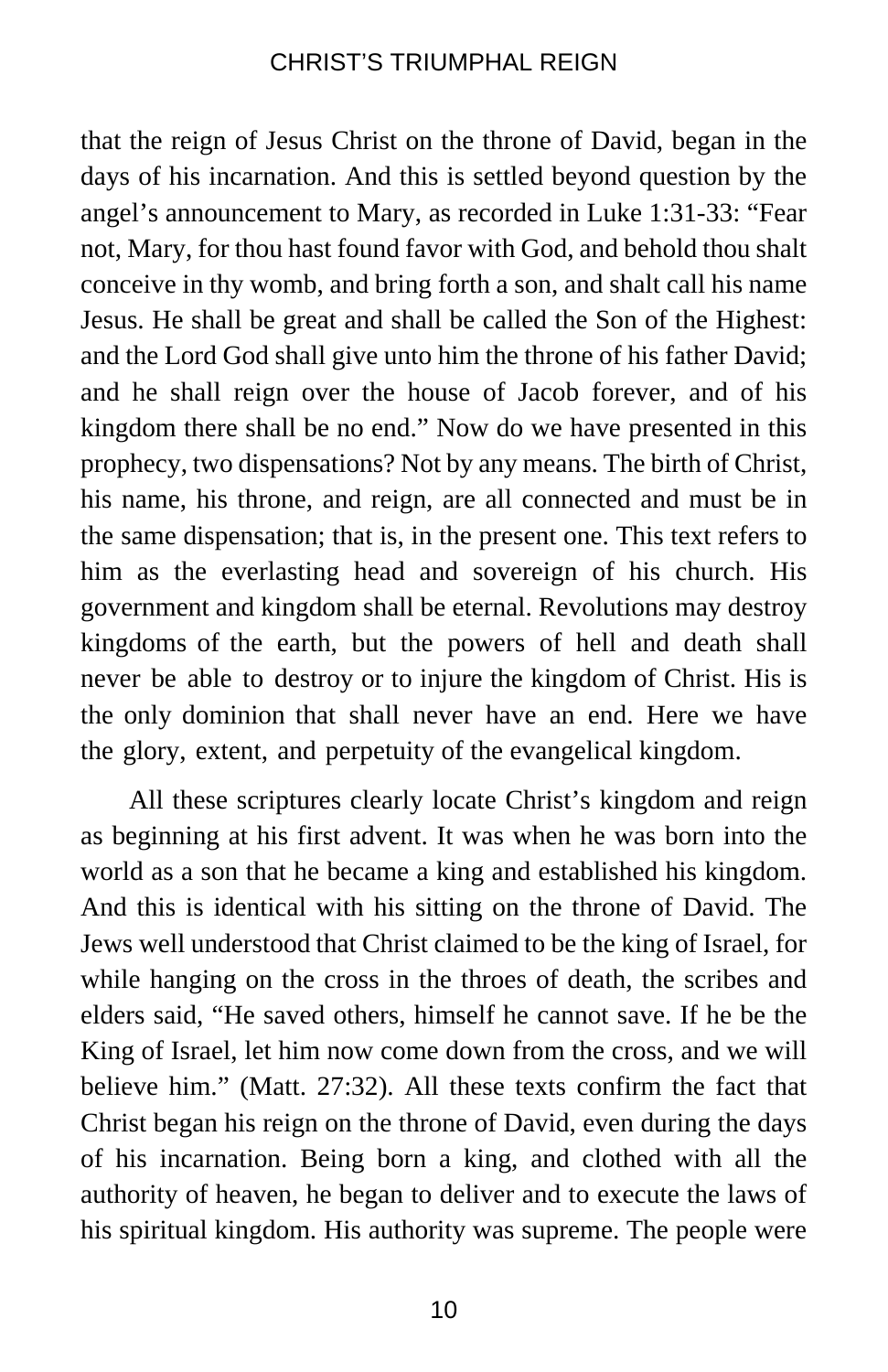that the reign of Jesus Christ on the throne of David, began in the days of his incarnation. And this is settled beyond question by the angel's announcement to Mary, as recorded in Luke 1:31-33: "Fear not, Mary, for thou hast found favor with God, and behold thou shalt conceive in thy womb, and bring forth a son, and shalt call his name Jesus. He shall be great and shall be called the Son of the Highest: and the Lord God shall give unto him the throne of his father David; and he shall reign over the house of Jacob forever, and of his kingdom there shall be no end." Now do we have presented in this prophecy, two dispensations? Not by any means. The birth of Christ, his name, his throne, and reign, are all connected and must be in the same dispensation; that is, in the present one. This text refers to him as the everlasting head and sovereign of his church. His government and kingdom shall be eternal. Revolutions may destroy kingdoms of the earth, but the powers of hell and death shall never be able to destroy or to injure the kingdom of Christ. His is the only dominion that shall never have an end. Here we have the glory, extent, and perpetuity of the evangelical kingdom.

All these scriptures clearly locate Christ's kingdom and reign as beginning at his first advent. It was when he was born into the world as a son that he became a king and established his kingdom. And this is identical with his sitting on the throne of David. The Jews well understood that Christ claimed to be the king of Israel, for while hanging on the cross in the throes of death, the scribes and elders said, "He saved others, himself he cannot save. If he be the King of Israel, let him now come down from the cross, and we will believe him." (Matt. 27:32). All these texts confirm the fact that Christ began his reign on the throne of David, even during the days of his incarnation. Being born a king, and clothed with all the authority of heaven, he began to deliver and to execute the laws of his spiritual kingdom. His authority was supreme. The people were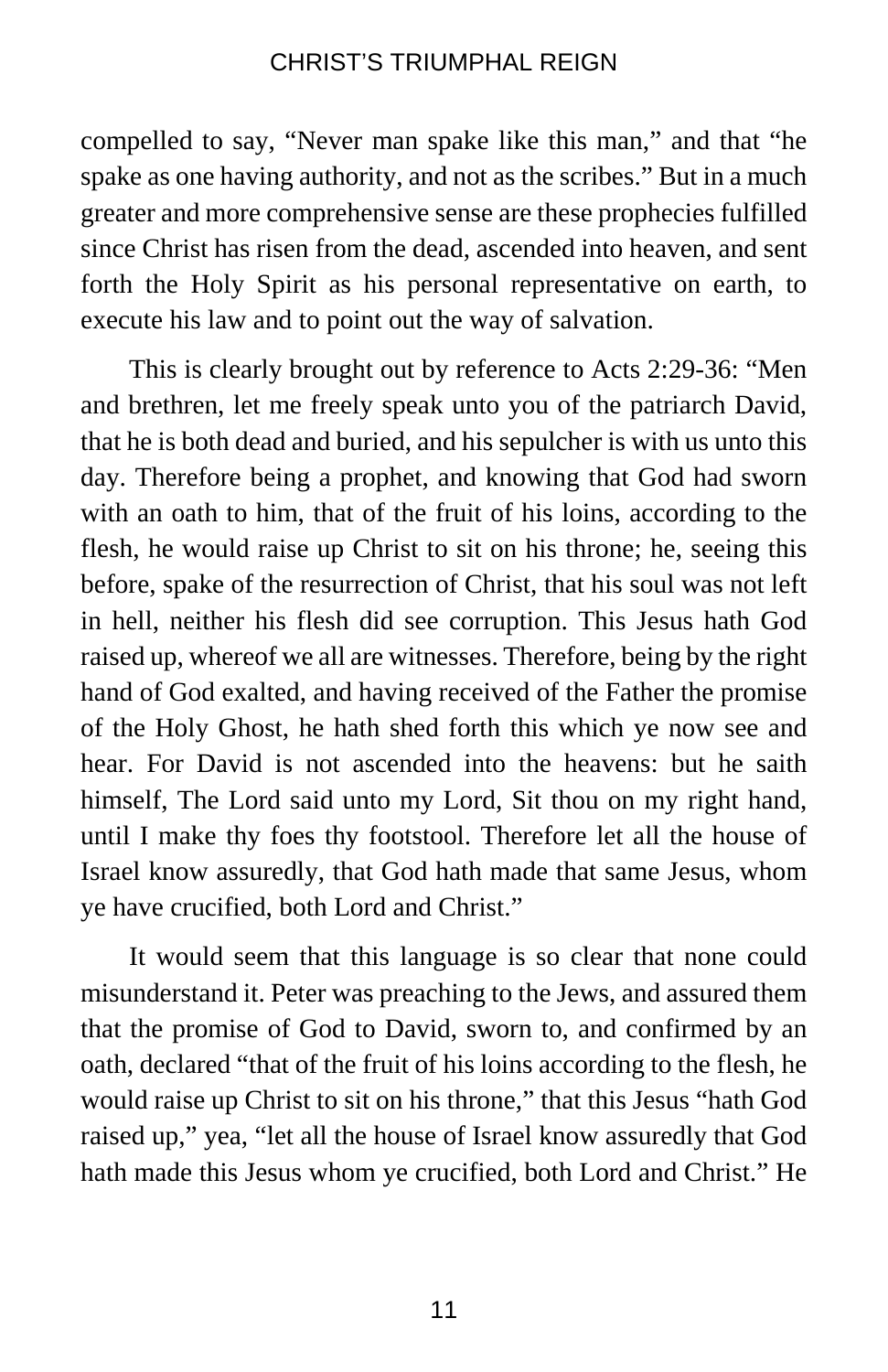compelled to say, "Never man spake like this man," and that "he spake as one having authority, and not as the scribes." But in a much greater and more comprehensive sense are these prophecies fulfilled since Christ has risen from the dead, ascended into heaven, and sent forth the Holy Spirit as his personal representative on earth, to execute his law and to point out the way of salvation.

This is clearly brought out by reference to Acts 2:29-36: "Men and brethren, let me freely speak unto you of the patriarch David, that he is both dead and buried, and his sepulcher is with us unto this day. Therefore being a prophet, and knowing that God had sworn with an oath to him, that of the fruit of his loins, according to the flesh, he would raise up Christ to sit on his throne; he, seeing this before, spake of the resurrection of Christ, that his soul was not left in hell, neither his flesh did see corruption. This Jesus hath God raised up, whereof we all are witnesses. Therefore, being by the right hand of God exalted, and having received of the Father the promise of the Holy Ghost, he hath shed forth this which ye now see and hear. For David is not ascended into the heavens: but he saith himself, The Lord said unto my Lord, Sit thou on my right hand, until I make thy foes thy footstool. Therefore let all the house of Israel know assuredly, that God hath made that same Jesus, whom ye have crucified, both Lord and Christ."

It would seem that this language is so clear that none could misunderstand it. Peter was preaching to the Jews, and assured them that the promise of God to David, sworn to, and confirmed by an oath, declared "that of the fruit of his loins according to the flesh, he would raise up Christ to sit on his throne," that this Jesus "hath God raised up," yea, "let all the house of Israel know assuredly that God hath made this Jesus whom ye crucified, both Lord and Christ." He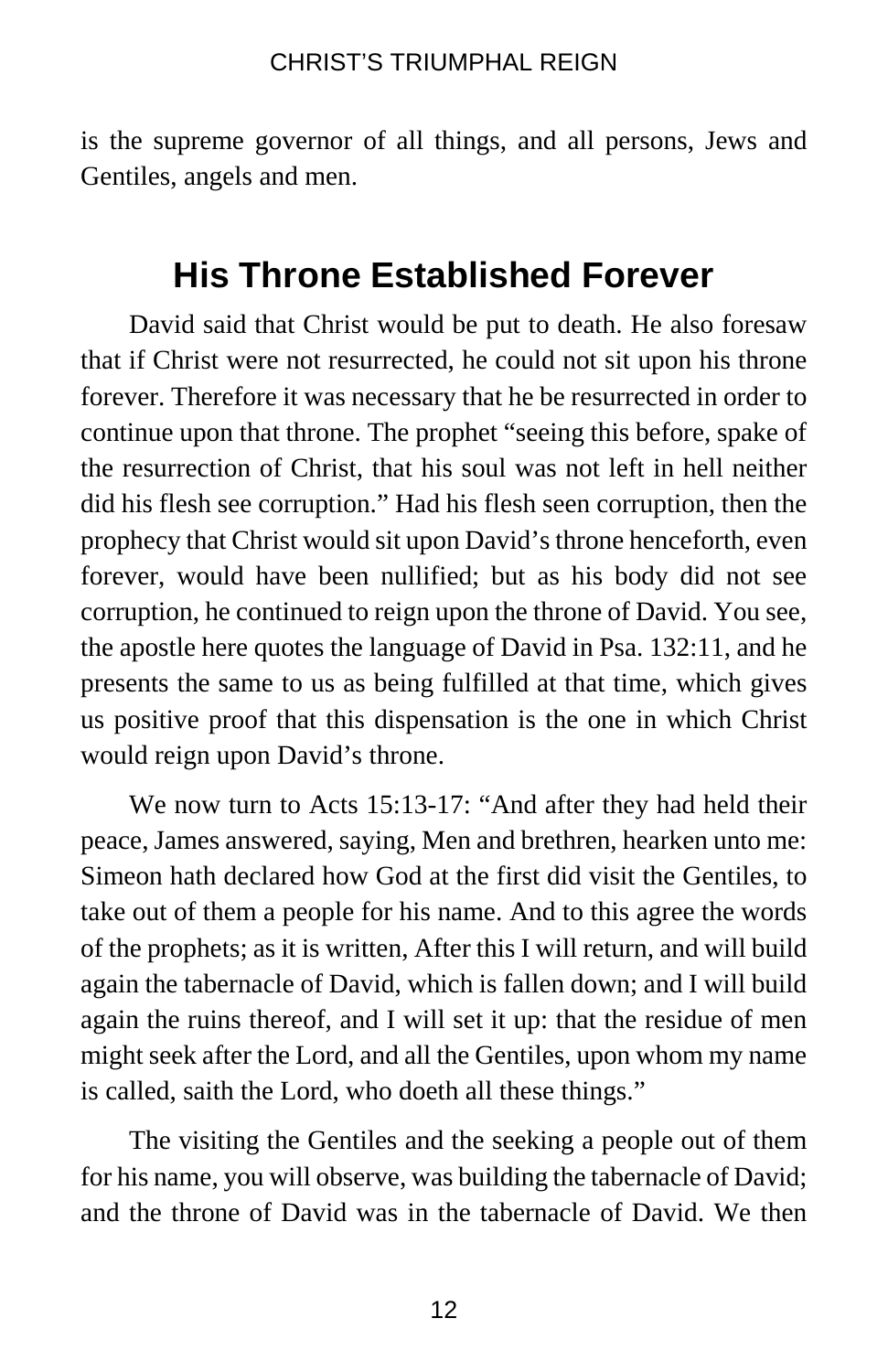is the supreme governor of all things, and all persons, Jews and Gentiles, angels and men.

# **His Throne Established Forever**

David said that Christ would be put to death. He also foresaw that if Christ were not resurrected, he could not sit upon his throne forever. Therefore it was necessary that he be resurrected in order to continue upon that throne. The prophet "seeing this before, spake of the resurrection of Christ, that his soul was not left in hell neither did his flesh see corruption." Had his flesh seen corruption, then the prophecy that Christ would sit upon David's throne henceforth, even forever, would have been nullified; but as his body did not see corruption, he continued to reign upon the throne of David. You see, the apostle here quotes the language of David in Psa. 132:11, and he presents the same to us as being fulfilled at that time, which gives us positive proof that this dispensation is the one in which Christ would reign upon David's throne.

We now turn to Acts 15:13-17: "And after they had held their peace, James answered, saying, Men and brethren, hearken unto me: Simeon hath declared how God at the first did visit the Gentiles, to take out of them a people for his name. And to this agree the words of the prophets; as it is written, After this I will return, and will build again the tabernacle of David, which is fallen down; and I will build again the ruins thereof, and I will set it up: that the residue of men might seek after the Lord, and all the Gentiles, upon whom my name is called, saith the Lord, who doeth all these things."

The visiting the Gentiles and the seeking a people out of them for his name, you will observe, was building the tabernacle of David; and the throne of David was in the tabernacle of David. We then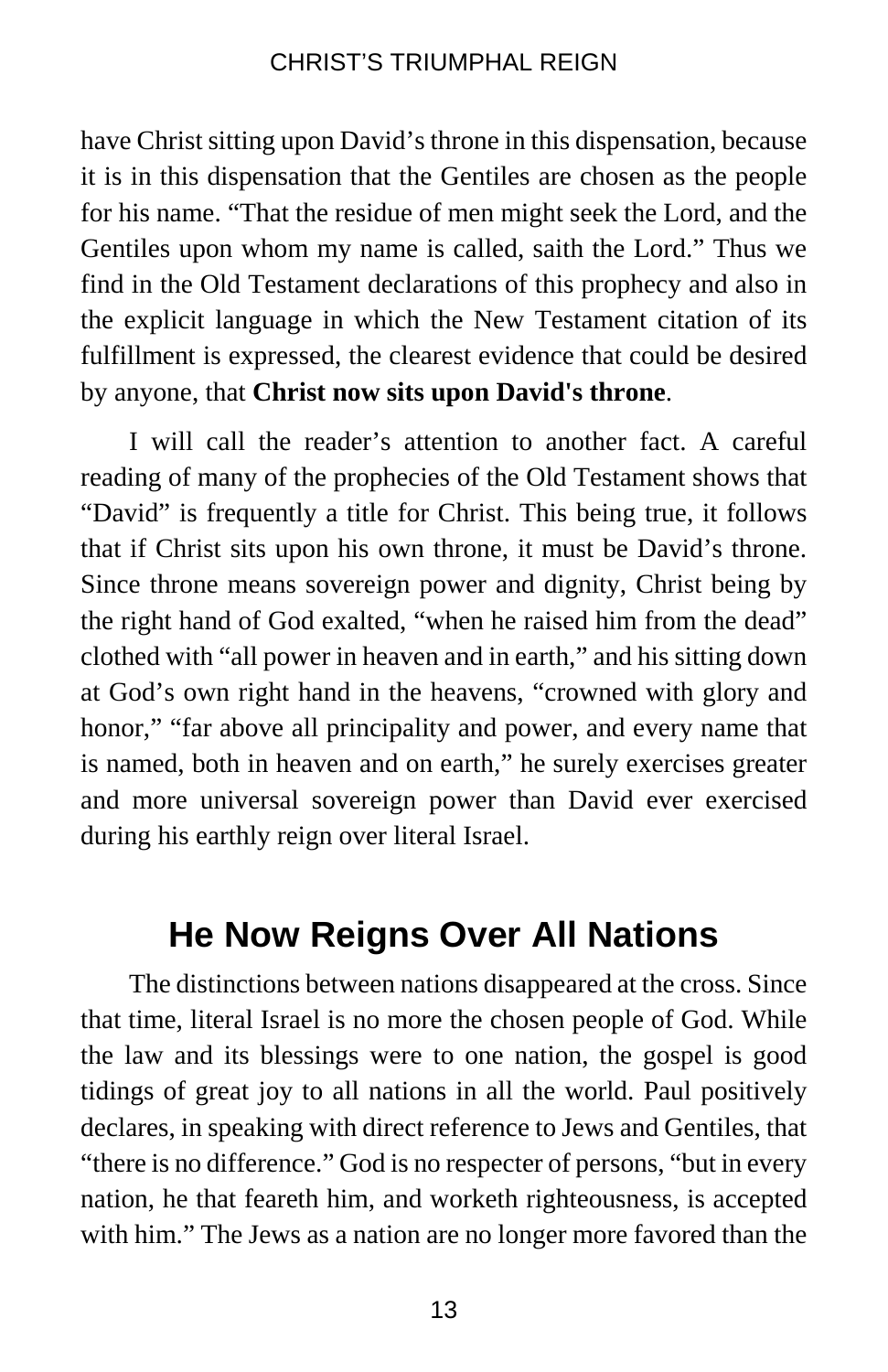have Christ sitting upon David's throne in this dispensation, because it is in this dispensation that the Gentiles are chosen as the people for his name. "That the residue of men might seek the Lord, and the Gentiles upon whom my name is called, saith the Lord." Thus we find in the Old Testament declarations of this prophecy and also in the explicit language in which the New Testament citation of its fulfillment is expressed, the clearest evidence that could be desired by anyone, that **Christ now sits upon David's throne**.

I will call the reader's attention to another fact. A careful reading of many of the prophecies of the Old Testament shows that "David" is frequently a title for Christ. This being true, it follows that if Christ sits upon his own throne, it must be David's throne. Since throne means sovereign power and dignity, Christ being by the right hand of God exalted, "when he raised him from the dead" clothed with "all power in heaven and in earth," and his sitting down at God's own right hand in the heavens, "crowned with glory and honor," "far above all principality and power, and every name that is named, both in heaven and on earth," he surely exercises greater and more universal sovereign power than David ever exercised during his earthly reign over literal Israel.

# **He Now Reigns Over All Nations**

The distinctions between nations disappeared at the cross. Since that time, literal Israel is no more the chosen people of God. While the law and its blessings were to one nation, the gospel is good tidings of great joy to all nations in all the world. Paul positively declares, in speaking with direct reference to Jews and Gentiles, that "there is no difference." God is no respecter of persons, "but in every nation, he that feareth him, and worketh righteousness, is accepted with him." The Jews as a nation are no longer more favored than the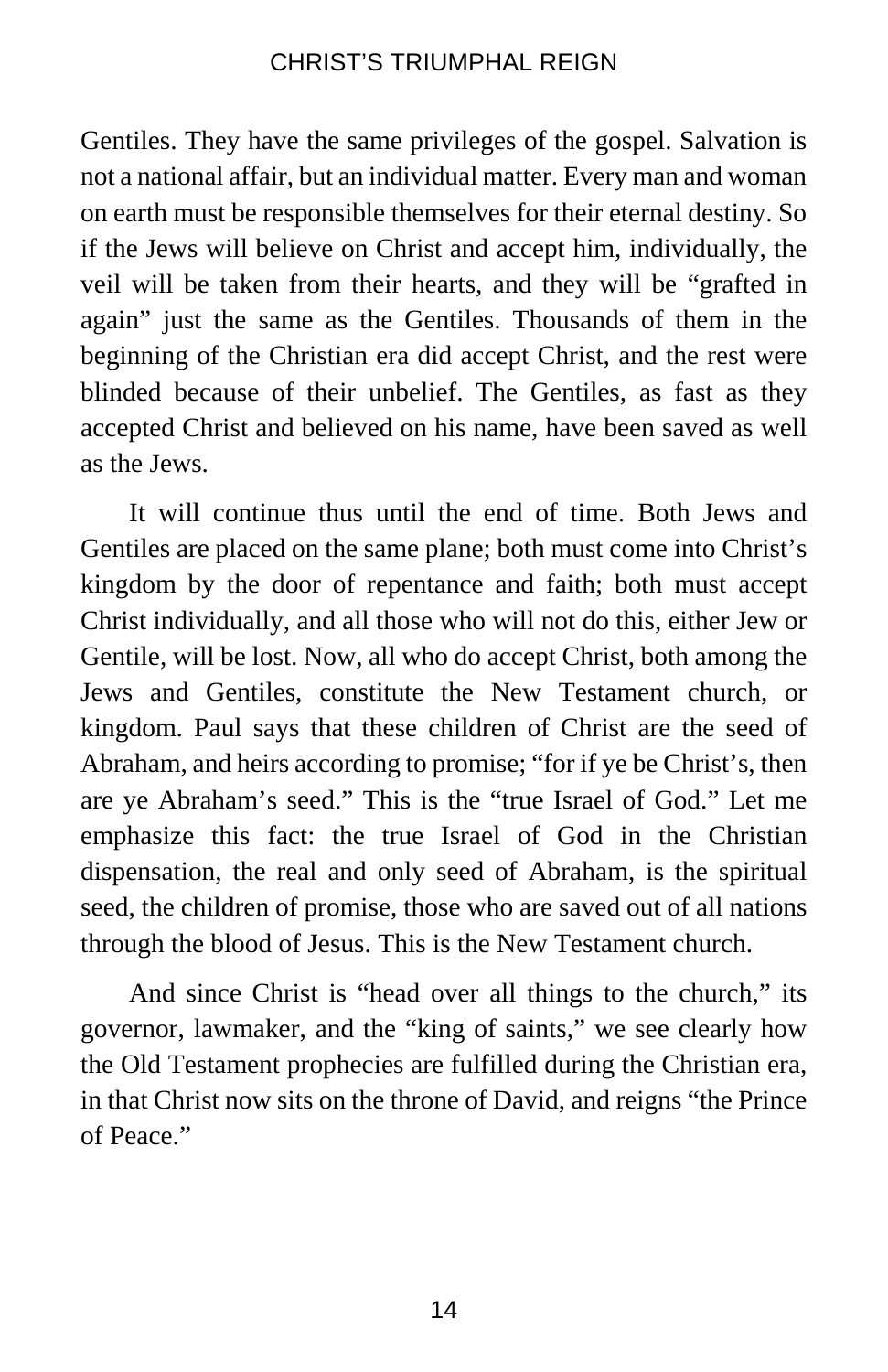Gentiles. They have the same privileges of the gospel. Salvation is not a national affair, but an individual matter. Every man and woman on earth must be responsible themselves for their eternal destiny. So if the Jews will believe on Christ and accept him, individually, the veil will be taken from their hearts, and they will be "grafted in again" just the same as the Gentiles. Thousands of them in the beginning of the Christian era did accept Christ, and the rest were blinded because of their unbelief. The Gentiles, as fast as they accepted Christ and believed on his name, have been saved as well as the Jews.

It will continue thus until the end of time. Both Jews and Gentiles are placed on the same plane; both must come into Christ's kingdom by the door of repentance and faith; both must accept Christ individually, and all those who will not do this, either Jew or Gentile, will be lost. Now, all who do accept Christ, both among the Jews and Gentiles, constitute the New Testament church, or kingdom. Paul says that these children of Christ are the seed of Abraham, and heirs according to promise; "for if ye be Christ's, then are ye Abraham's seed." This is the "true Israel of God." Let me emphasize this fact: the true Israel of God in the Christian dispensation, the real and only seed of Abraham, is the spiritual seed, the children of promise, those who are saved out of all nations through the blood of Jesus. This is the New Testament church.

And since Christ is "head over all things to the church," its governor, lawmaker, and the "king of saints," we see clearly how the Old Testament prophecies are fulfilled during the Christian era, in that Christ now sits on the throne of David, and reigns "the Prince of Peace."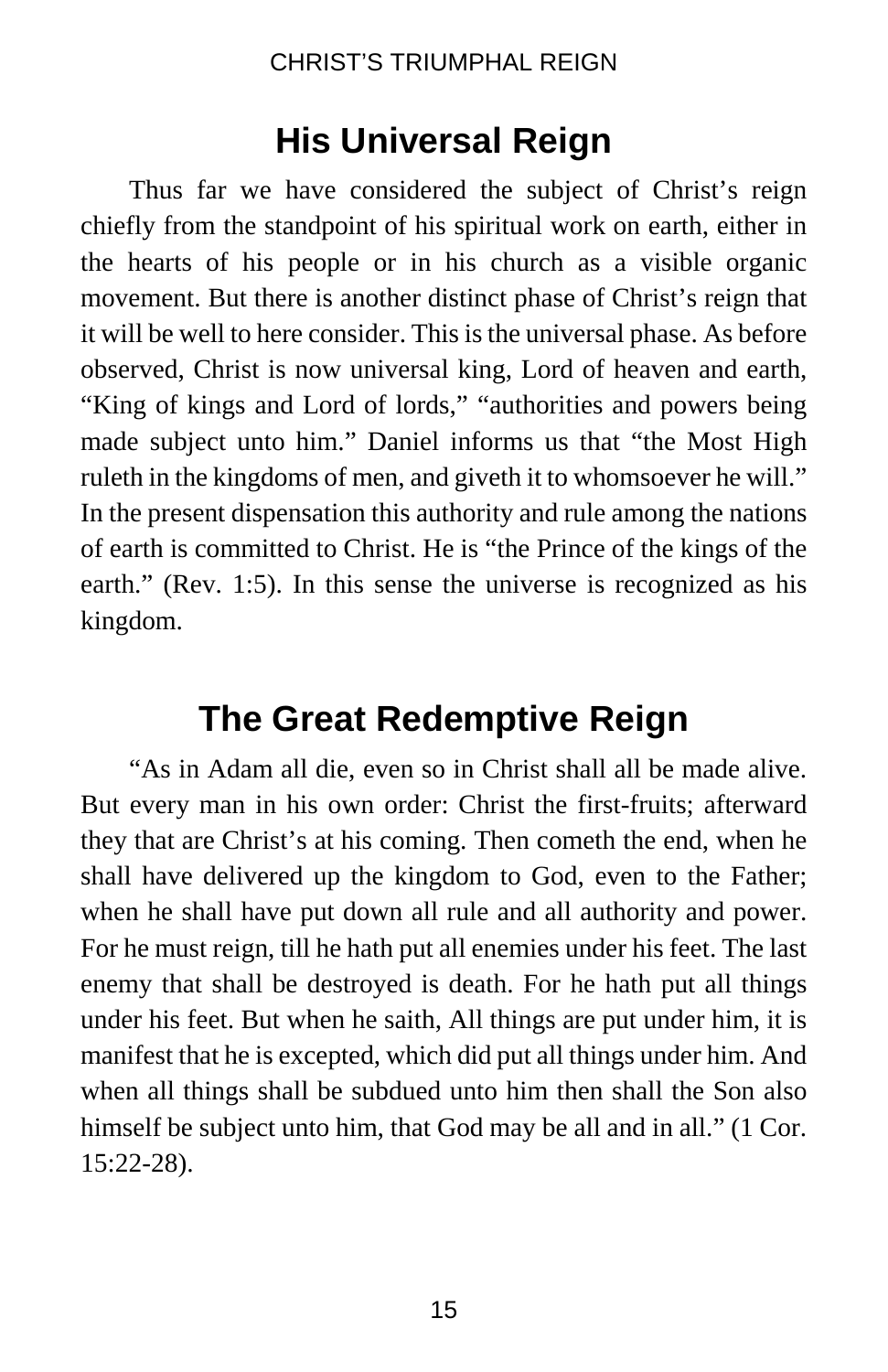# **His Universal Reign**

Thus far we have considered the subject of Christ's reign chiefly from the standpoint of his spiritual work on earth, either in the hearts of his people or in his church as a visible organic movement. But there is another distinct phase of Christ's reign that it will be well to here consider. This is the universal phase. As before observed, Christ is now universal king, Lord of heaven and earth, "King of kings and Lord of lords," "authorities and powers being made subject unto him." Daniel informs us that "the Most High ruleth in the kingdoms of men, and giveth it to whomsoever he will." In the present dispensation this authority and rule among the nations of earth is committed to Christ. He is "the Prince of the kings of the earth." (Rev. 1:5). In this sense the universe is recognized as his kingdom.

# **The Great Redemptive Reign**

"As in Adam all die, even so in Christ shall all be made alive. But every man in his own order: Christ the first-fruits; afterward they that are Christ's at his coming. Then cometh the end, when he shall have delivered up the kingdom to God, even to the Father; when he shall have put down all rule and all authority and power. For he must reign, till he hath put all enemies under his feet. The last enemy that shall be destroyed is death. For he hath put all things under his feet. But when he saith, All things are put under him, it is manifest that he is excepted, which did put all things under him. And when all things shall be subdued unto him then shall the Son also himself be subject unto him, that God may be all and in all." (1 Cor. 15:22-28).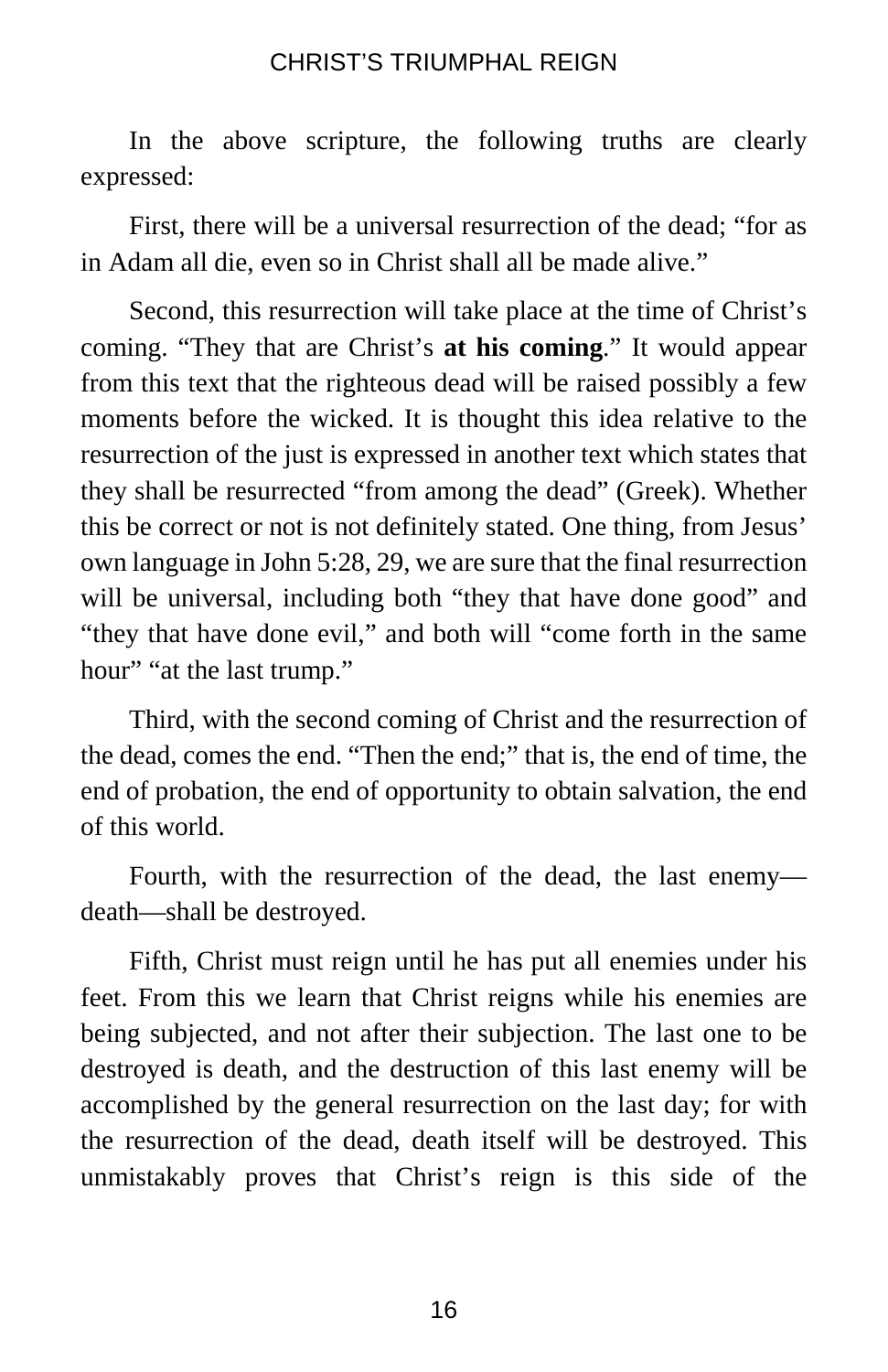In the above scripture, the following truths are clearly expressed:

First, there will be a universal resurrection of the dead; "for as in Adam all die, even so in Christ shall all be made alive."

Second, this resurrection will take place at the time of Christ's coming. "They that are Christ's **at his coming**." It would appear from this text that the righteous dead will be raised possibly a few moments before the wicked. It is thought this idea relative to the resurrection of the just is expressed in another text which states that they shall be resurrected "from among the dead" (Greek). Whether this be correct or not is not definitely stated. One thing, from Jesus' own language in John 5:28, 29, we are sure that the final resurrection will be universal, including both "they that have done good" and "they that have done evil," and both will "come forth in the same hour" "at the last trump."

Third, with the second coming of Christ and the resurrection of the dead, comes the end. "Then the end;" that is, the end of time, the end of probation, the end of opportunity to obtain salvation, the end of this world.

Fourth, with the resurrection of the dead, the last enemy death—shall be destroyed.

Fifth, Christ must reign until he has put all enemies under his feet. From this we learn that Christ reigns while his enemies are being subjected, and not after their subjection. The last one to be destroyed is death, and the destruction of this last enemy will be accomplished by the general resurrection on the last day; for with the resurrection of the dead, death itself will be destroyed. This unmistakably proves that Christ's reign is this side of the

16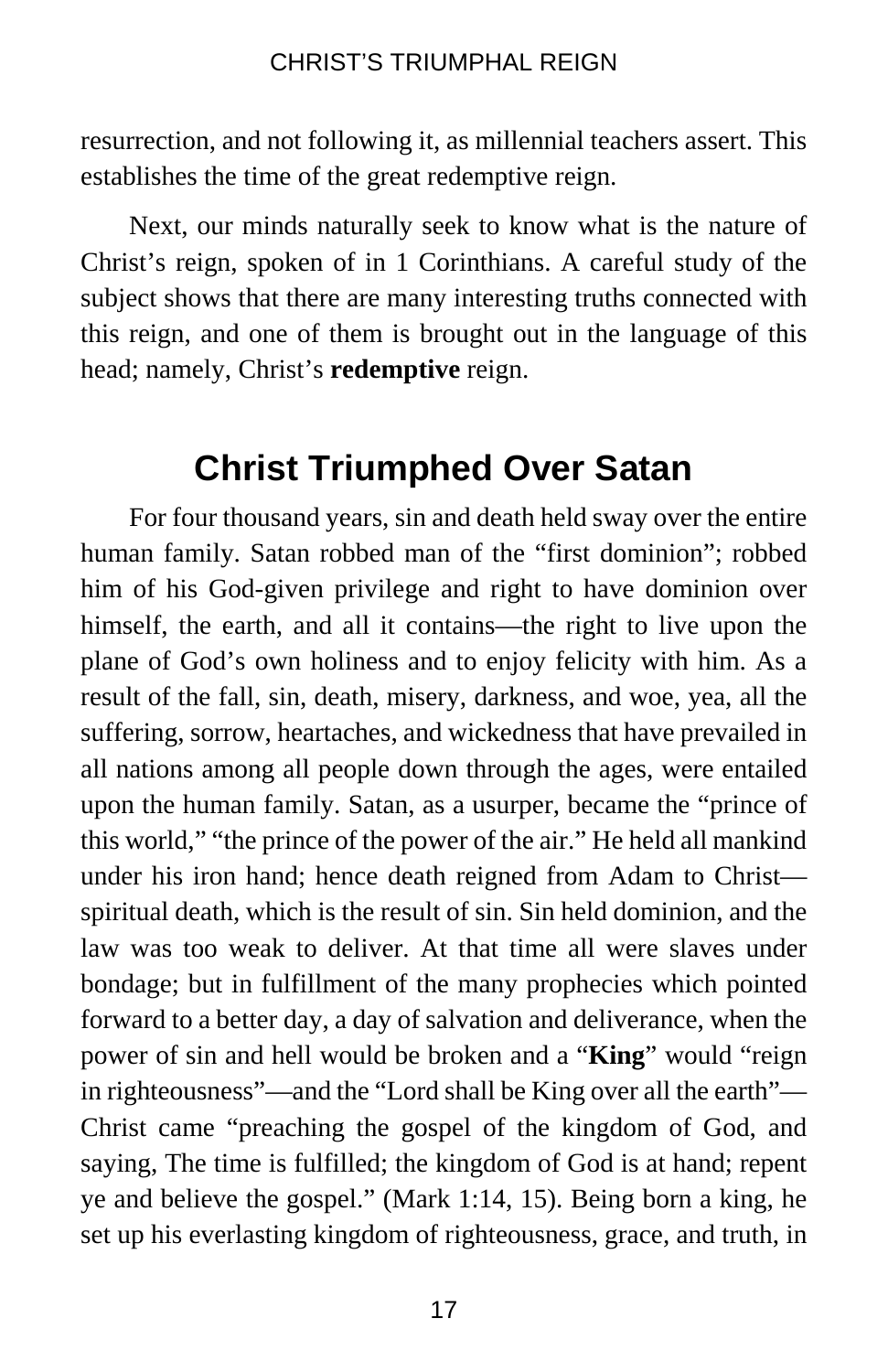resurrection, and not following it, as millennial teachers assert. This establishes the time of the great redemptive reign.

Next, our minds naturally seek to know what is the nature of Christ's reign, spoken of in 1 Corinthians. A careful study of the subject shows that there are many interesting truths connected with this reign, and one of them is brought out in the language of this head; namely, Christ's **redemptive** reign.

# **Christ Triumphed Over Satan**

For four thousand years, sin and death held sway over the entire human family. Satan robbed man of the "first dominion"; robbed him of his God-given privilege and right to have dominion over himself, the earth, and all it contains—the right to live upon the plane of God's own holiness and to enjoy felicity with him. As a result of the fall, sin, death, misery, darkness, and woe, yea, all the suffering, sorrow, heartaches, and wickedness that have prevailed in all nations among all people down through the ages, were entailed upon the human family. Satan, as a usurper, became the "prince of this world," "the prince of the power of the air." He held all mankind under his iron hand; hence death reigned from Adam to Christ spiritual death, which is the result of sin. Sin held dominion, and the law was too weak to deliver. At that time all were slaves under bondage; but in fulfillment of the many prophecies which pointed forward to a better day, a day of salvation and deliverance, when the power of sin and hell would be broken and a "**King**" would "reign in righteousness"—and the "Lord shall be King over all the earth"— Christ came "preaching the gospel of the kingdom of God, and saying, The time is fulfilled; the kingdom of God is at hand; repent ye and believe the gospel." (Mark 1:14, 15). Being born a king, he set up his everlasting kingdom of righteousness, grace, and truth, in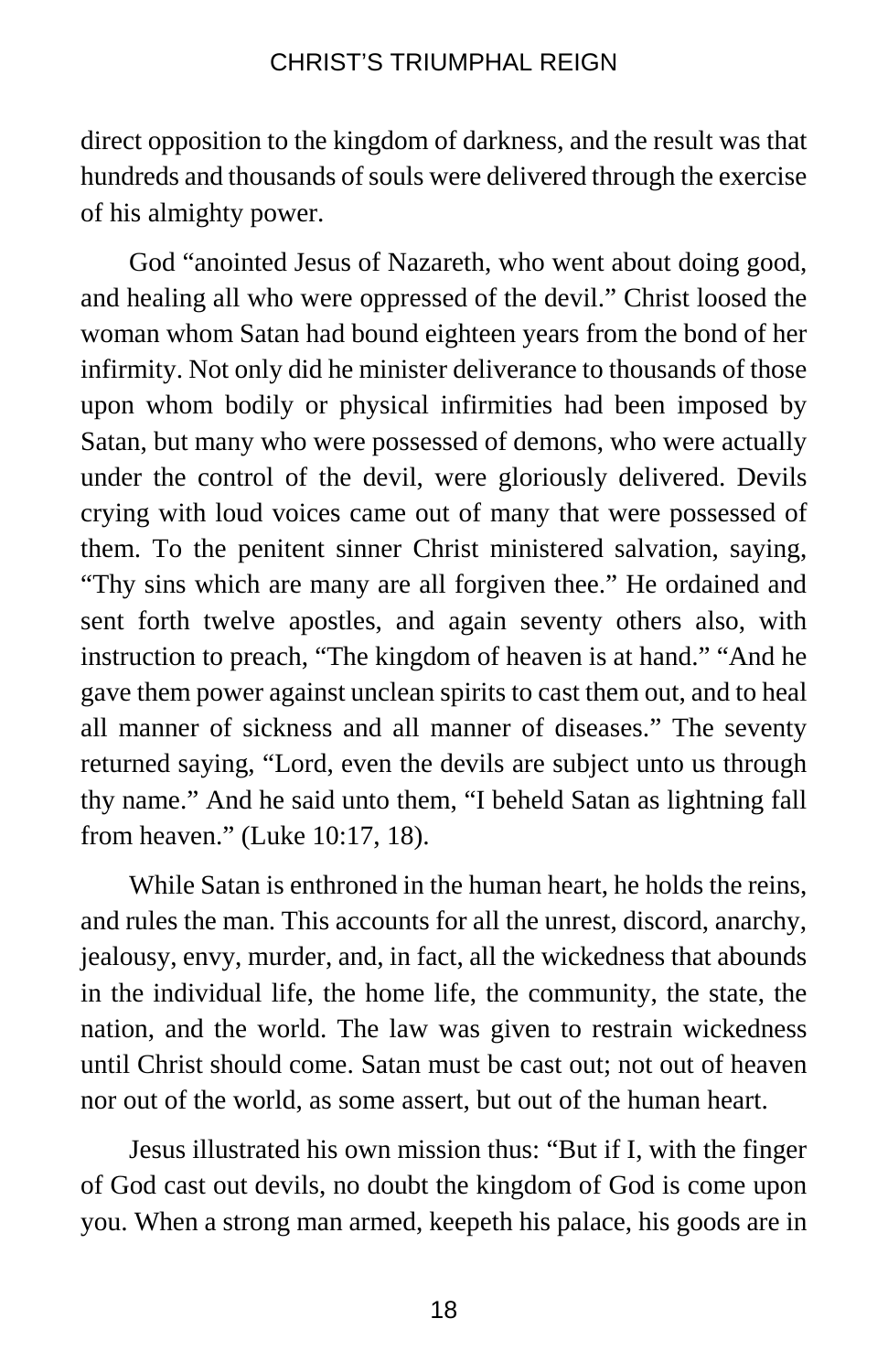direct opposition to the kingdom of darkness, and the result was that hundreds and thousands of souls were delivered through the exercise of his almighty power.

God "anointed Jesus of Nazareth, who went about doing good, and healing all who were oppressed of the devil." Christ loosed the woman whom Satan had bound eighteen years from the bond of her infirmity. Not only did he minister deliverance to thousands of those upon whom bodily or physical infirmities had been imposed by Satan, but many who were possessed of demons, who were actually under the control of the devil, were gloriously delivered. Devils crying with loud voices came out of many that were possessed of them. To the penitent sinner Christ ministered salvation, saying, "Thy sins which are many are all forgiven thee." He ordained and sent forth twelve apostles, and again seventy others also, with instruction to preach, "The kingdom of heaven is at hand." "And he gave them power against unclean spirits to cast them out, and to heal all manner of sickness and all manner of diseases." The seventy returned saying, "Lord, even the devils are subject unto us through thy name." And he said unto them, "I beheld Satan as lightning fall from heaven." (Luke 10:17, 18).

While Satan is enthroned in the human heart, he holds the reins, and rules the man. This accounts for all the unrest, discord, anarchy, jealousy, envy, murder, and, in fact, all the wickedness that abounds in the individual life, the home life, the community, the state, the nation, and the world. The law was given to restrain wickedness until Christ should come. Satan must be cast out; not out of heaven nor out of the world, as some assert, but out of the human heart.

Jesus illustrated his own mission thus: "But if I, with the finger of God cast out devils, no doubt the kingdom of God is come upon you. When a strong man armed, keepeth his palace, his goods are in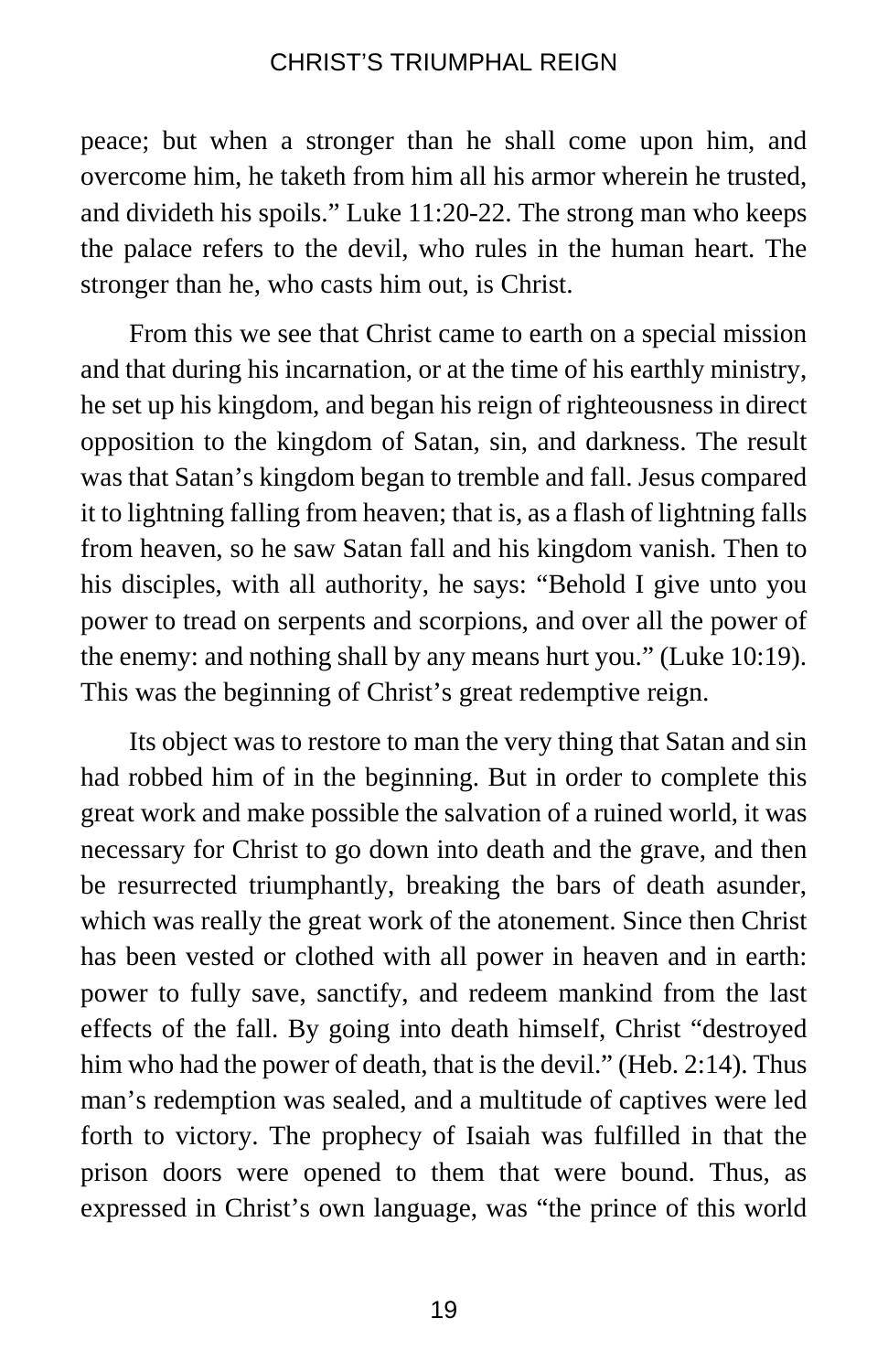peace; but when a stronger than he shall come upon him, and overcome him, he taketh from him all his armor wherein he trusted, and divideth his spoils." Luke 11:20-22. The strong man who keeps the palace refers to the devil, who rules in the human heart. The stronger than he, who casts him out, is Christ.

From this we see that Christ came to earth on a special mission and that during his incarnation, or at the time of his earthly ministry, he set up his kingdom, and began his reign of righteousness in direct opposition to the kingdom of Satan, sin, and darkness. The result was that Satan's kingdom began to tremble and fall. Jesus compared it to lightning falling from heaven; that is, as a flash of lightning falls from heaven, so he saw Satan fall and his kingdom vanish. Then to his disciples, with all authority, he says: "Behold I give unto you power to tread on serpents and scorpions, and over all the power of the enemy: and nothing shall by any means hurt you." (Luke 10:19). This was the beginning of Christ's great redemptive reign.

Its object was to restore to man the very thing that Satan and sin had robbed him of in the beginning. But in order to complete this great work and make possible the salvation of a ruined world, it was necessary for Christ to go down into death and the grave, and then be resurrected triumphantly, breaking the bars of death asunder, which was really the great work of the atonement. Since then Christ has been vested or clothed with all power in heaven and in earth: power to fully save, sanctify, and redeem mankind from the last effects of the fall. By going into death himself, Christ "destroyed him who had the power of death, that is the devil." (Heb. 2:14). Thus man's redemption was sealed, and a multitude of captives were led forth to victory. The prophecy of Isaiah was fulfilled in that the prison doors were opened to them that were bound. Thus, as expressed in Christ's own language, was "the prince of this world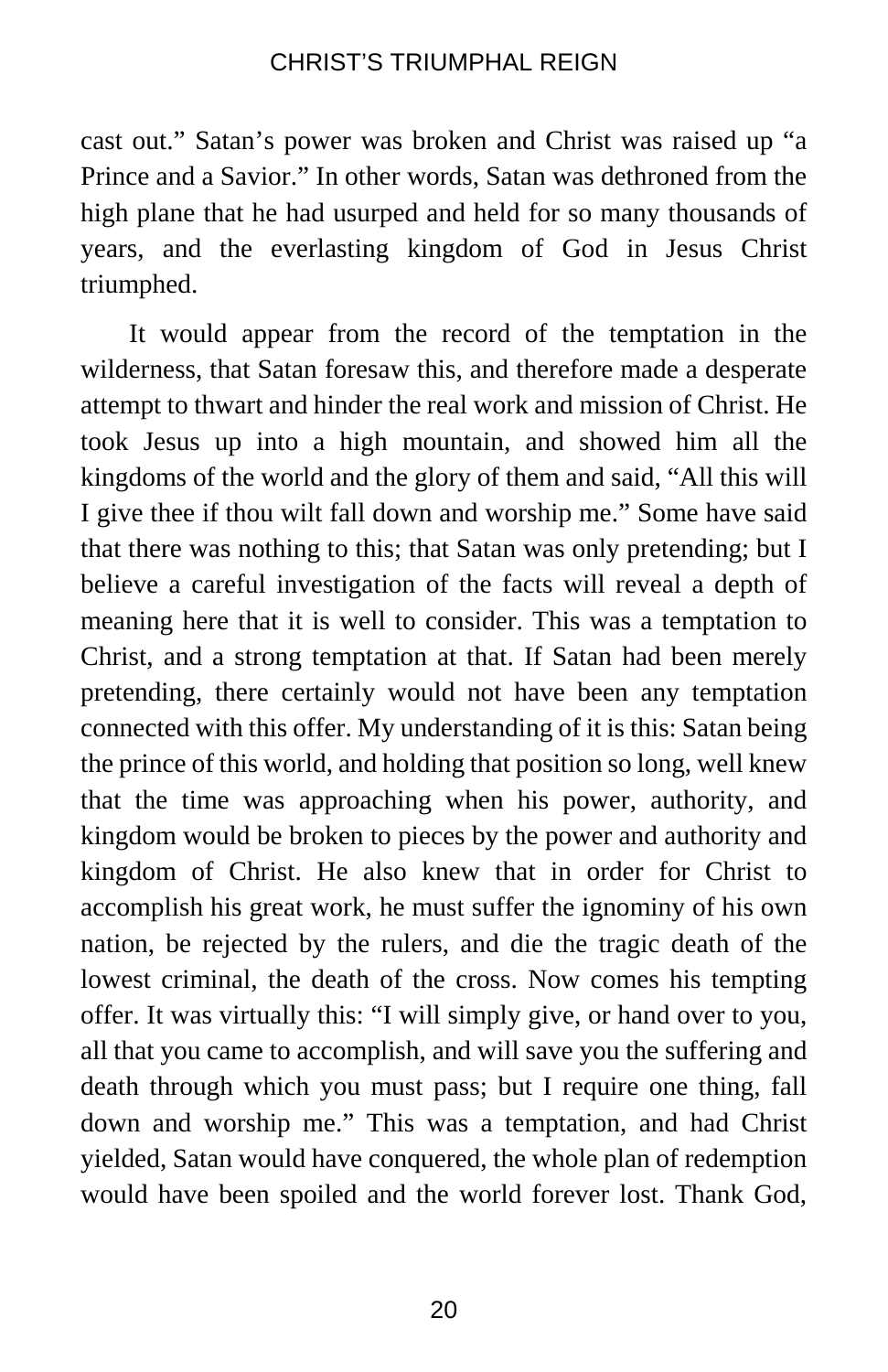cast out." Satan's power was broken and Christ was raised up "a Prince and a Savior." In other words, Satan was dethroned from the high plane that he had usurped and held for so many thousands of years, and the everlasting kingdom of God in Jesus Christ triumphed.

It would appear from the record of the temptation in the wilderness, that Satan foresaw this, and therefore made a desperate attempt to thwart and hinder the real work and mission of Christ. He took Jesus up into a high mountain, and showed him all the kingdoms of the world and the glory of them and said, "All this will I give thee if thou wilt fall down and worship me." Some have said that there was nothing to this; that Satan was only pretending; but I believe a careful investigation of the facts will reveal a depth of meaning here that it is well to consider. This was a temptation to Christ, and a strong temptation at that. If Satan had been merely pretending, there certainly would not have been any temptation connected with this offer. My understanding of it is this: Satan being the prince of this world, and holding that position so long, well knew that the time was approaching when his power, authority, and kingdom would be broken to pieces by the power and authority and kingdom of Christ. He also knew that in order for Christ to accomplish his great work, he must suffer the ignominy of his own nation, be rejected by the rulers, and die the tragic death of the lowest criminal, the death of the cross. Now comes his tempting offer. It was virtually this: "I will simply give, or hand over to you, all that you came to accomplish, and will save you the suffering and death through which you must pass; but I require one thing, fall down and worship me." This was a temptation, and had Christ yielded, Satan would have conquered, the whole plan of redemption would have been spoiled and the world forever lost. Thank God,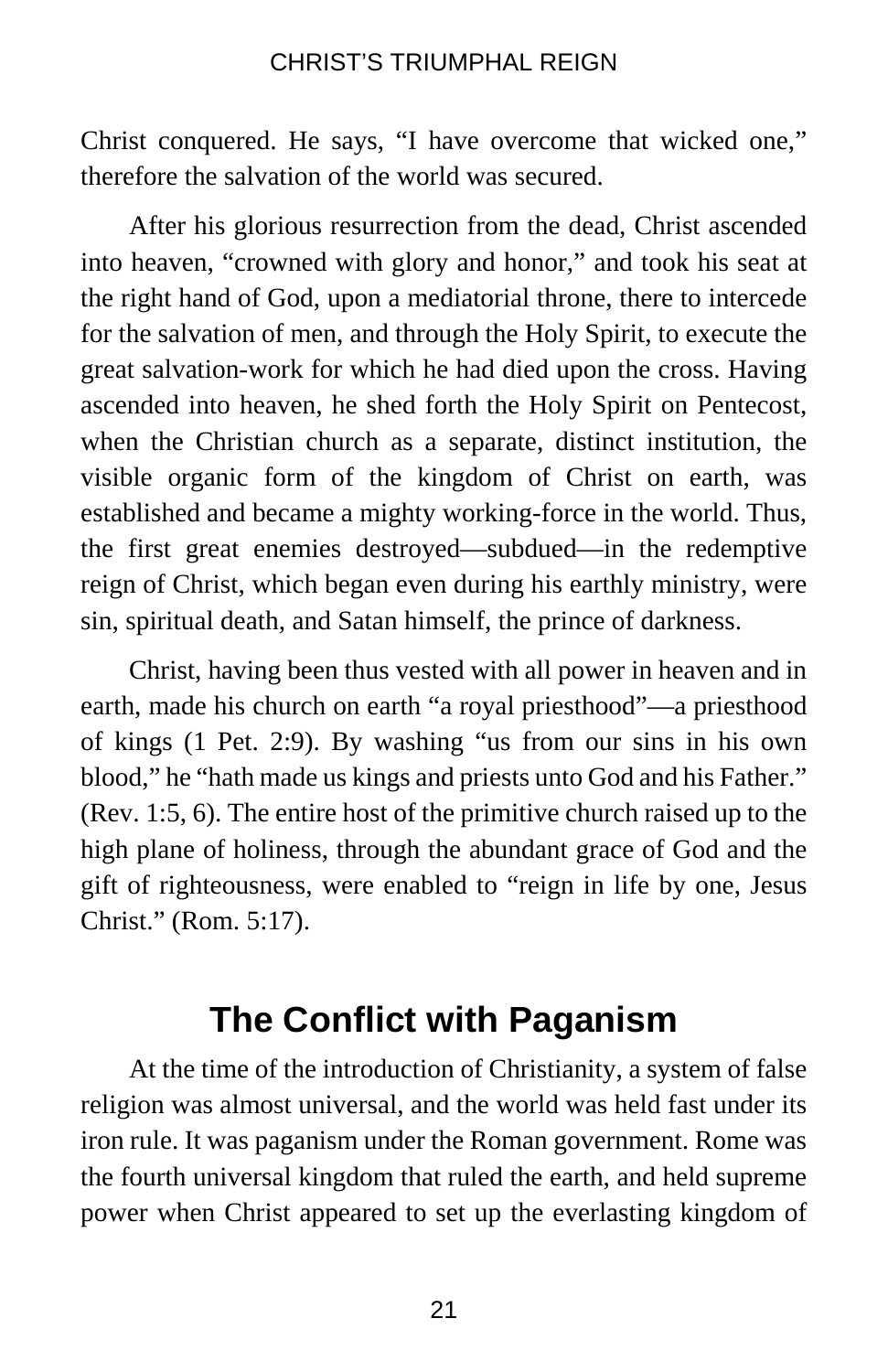Christ conquered. He says, "I have overcome that wicked one," therefore the salvation of the world was secured.

After his glorious resurrection from the dead, Christ ascended into heaven, "crowned with glory and honor," and took his seat at the right hand of God, upon a mediatorial throne, there to intercede for the salvation of men, and through the Holy Spirit, to execute the great salvation-work for which he had died upon the cross. Having ascended into heaven, he shed forth the Holy Spirit on Pentecost, when the Christian church as a separate, distinct institution, the visible organic form of the kingdom of Christ on earth, was established and became a mighty working-force in the world. Thus, the first great enemies destroyed—subdued—in the redemptive reign of Christ, which began even during his earthly ministry, were sin, spiritual death, and Satan himself, the prince of darkness.

Christ, having been thus vested with all power in heaven and in earth, made his church on earth "a royal priesthood"—a priesthood of kings (1 Pet. 2:9). By washing "us from our sins in his own blood," he "hath made us kings and priests unto God and his Father." (Rev. 1:5, 6). The entire host of the primitive church raised up to the high plane of holiness, through the abundant grace of God and the gift of righteousness, were enabled to "reign in life by one, Jesus Christ." (Rom. 5:17).

## **The Conflict with Paganism**

At the time of the introduction of Christianity, a system of false religion was almost universal, and the world was held fast under its iron rule. It was paganism under the Roman government. Rome was the fourth universal kingdom that ruled the earth, and held supreme power when Christ appeared to set up the everlasting kingdom of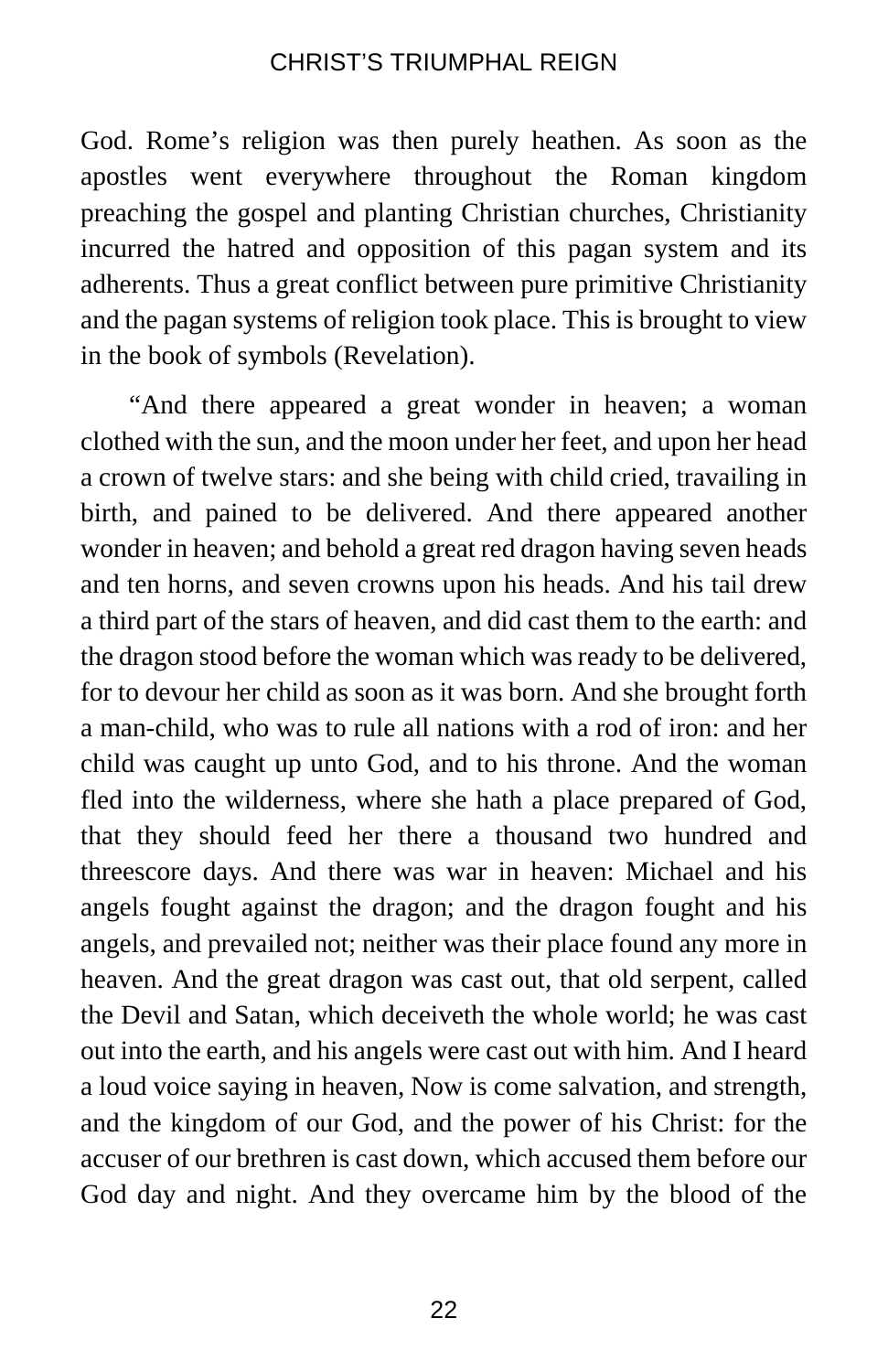God. Rome's religion was then purely heathen. As soon as the apostles went everywhere throughout the Roman kingdom preaching the gospel and planting Christian churches, Christianity incurred the hatred and opposition of this pagan system and its adherents. Thus a great conflict between pure primitive Christianity and the pagan systems of religion took place. This is brought to view in the book of symbols (Revelation).

"And there appeared a great wonder in heaven; a woman clothed with the sun, and the moon under her feet, and upon her head a crown of twelve stars: and she being with child cried, travailing in birth, and pained to be delivered. And there appeared another wonder in heaven; and behold a great red dragon having seven heads and ten horns, and seven crowns upon his heads. And his tail drew a third part of the stars of heaven, and did cast them to the earth: and the dragon stood before the woman which was ready to be delivered, for to devour her child as soon as it was born. And she brought forth a man-child, who was to rule all nations with a rod of iron: and her child was caught up unto God, and to his throne. And the woman fled into the wilderness, where she hath a place prepared of God, that they should feed her there a thousand two hundred and threescore days. And there was war in heaven: Michael and his angels fought against the dragon; and the dragon fought and his angels, and prevailed not; neither was their place found any more in heaven. And the great dragon was cast out, that old serpent, called the Devil and Satan, which deceiveth the whole world; he was cast out into the earth, and his angels were cast out with him. And I heard a loud voice saying in heaven, Now is come salvation, and strength, and the kingdom of our God, and the power of his Christ: for the accuser of our brethren is cast down, which accused them before our God day and night. And they overcame him by the blood of the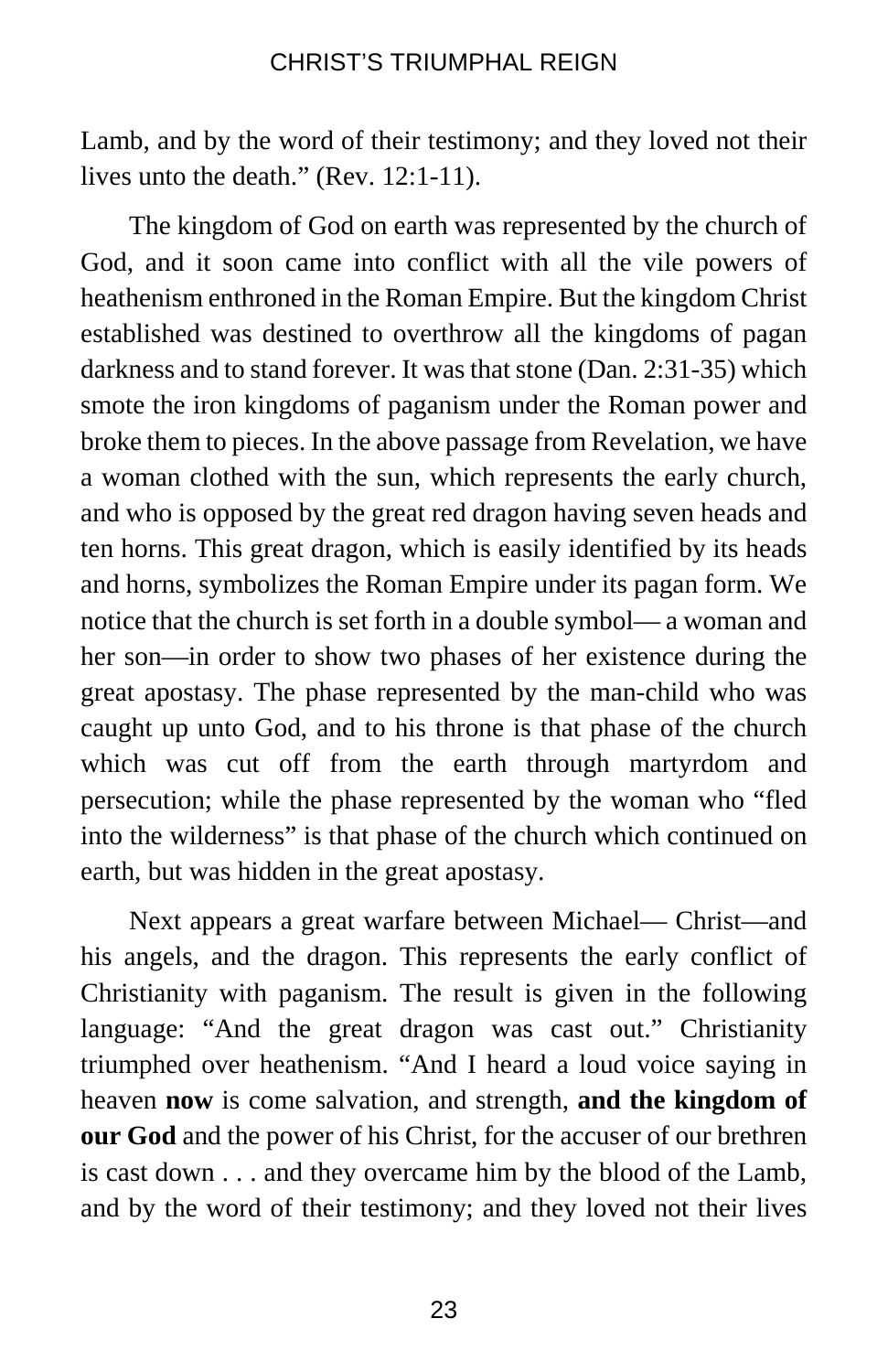Lamb, and by the word of their testimony; and they loved not their lives unto the death." (Rev. 12:1-11).

The kingdom of God on earth was represented by the church of God, and it soon came into conflict with all the vile powers of heathenism enthroned in the Roman Empire. But the kingdom Christ established was destined to overthrow all the kingdoms of pagan darkness and to stand forever. It was that stone (Dan. 2:31-35) which smote the iron kingdoms of paganism under the Roman power and broke them to pieces. In the above passage from Revelation, we have a woman clothed with the sun, which represents the early church, and who is opposed by the great red dragon having seven heads and ten horns. This great dragon, which is easily identified by its heads and horns, symbolizes the Roman Empire under its pagan form. We notice that the church is set forth in a double symbol— a woman and her son—in order to show two phases of her existence during the great apostasy. The phase represented by the man-child who was caught up unto God, and to his throne is that phase of the church which was cut off from the earth through martyrdom and persecution; while the phase represented by the woman who "fled into the wilderness" is that phase of the church which continued on earth, but was hidden in the great apostasy.

Next appears a great warfare between Michael— Christ—and his angels, and the dragon. This represents the early conflict of Christianity with paganism. The result is given in the following language: "And the great dragon was cast out." Christianity triumphed over heathenism. "And I heard a loud voice saying in heaven **now** is come salvation, and strength, **and the kingdom of our God** and the power of his Christ, for the accuser of our brethren is cast down . . . and they overcame him by the blood of the Lamb, and by the word of their testimony; and they loved not their lives

23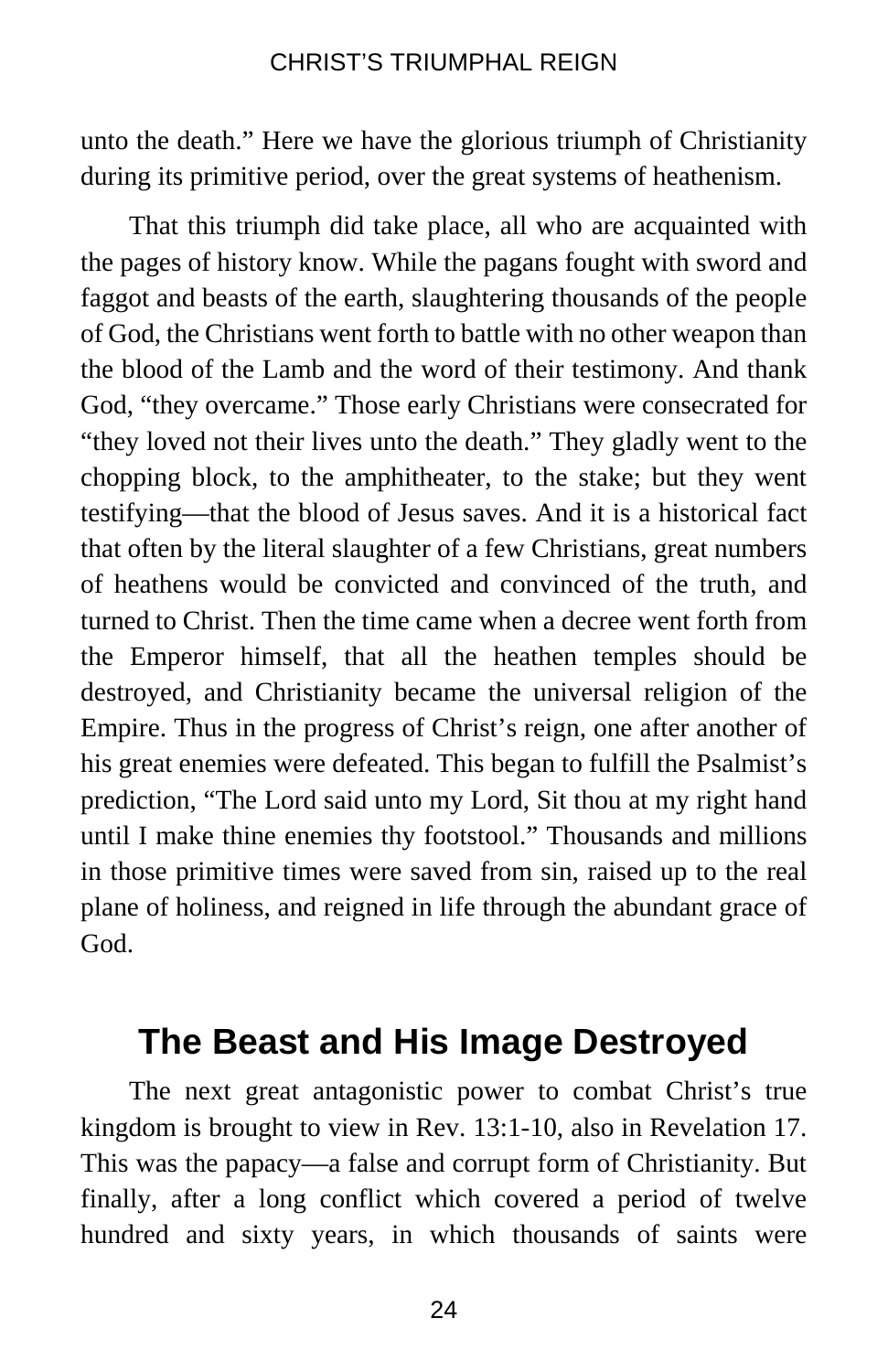unto the death." Here we have the glorious triumph of Christianity during its primitive period, over the great systems of heathenism.

That this triumph did take place, all who are acquainted with the pages of history know. While the pagans fought with sword and faggot and beasts of the earth, slaughtering thousands of the people of God, the Christians went forth to battle with no other weapon than the blood of the Lamb and the word of their testimony. And thank God, "they overcame." Those early Christians were consecrated for "they loved not their lives unto the death." They gladly went to the chopping block, to the amphitheater, to the stake; but they went testifying—that the blood of Jesus saves. And it is a historical fact that often by the literal slaughter of a few Christians, great numbers of heathens would be convicted and convinced of the truth, and turned to Christ. Then the time came when a decree went forth from the Emperor himself, that all the heathen temples should be destroyed, and Christianity became the universal religion of the Empire. Thus in the progress of Christ's reign, one after another of his great enemies were defeated. This began to fulfill the Psalmist's prediction, "The Lord said unto my Lord, Sit thou at my right hand until I make thine enemies thy footstool." Thousands and millions in those primitive times were saved from sin, raised up to the real plane of holiness, and reigned in life through the abundant grace of God.

## **The Beast and His Image Destroyed**

The next great antagonistic power to combat Christ's true kingdom is brought to view in Rev. 13:1-10, also in Revelation 17. This was the papacy—a false and corrupt form of Christianity. But finally, after a long conflict which covered a period of twelve hundred and sixty years, in which thousands of saints were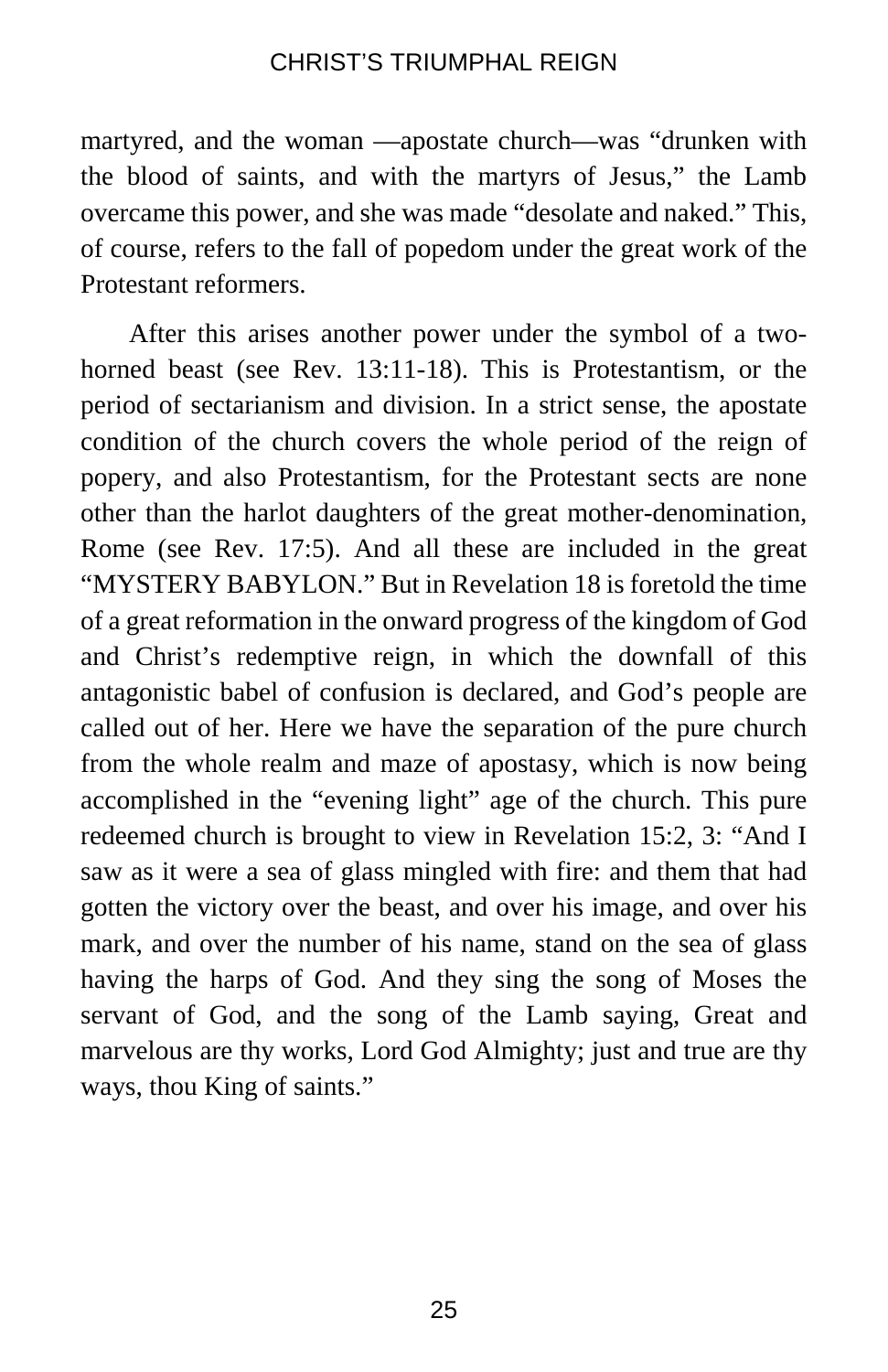martyred, and the woman —apostate church—was "drunken with the blood of saints, and with the martyrs of Jesus," the Lamb overcame this power, and she was made "desolate and naked." This, of course, refers to the fall of popedom under the great work of the Protestant reformers.

After this arises another power under the symbol of a twohorned beast (see Rev. 13:11-18). This is Protestantism, or the period of sectarianism and division. In a strict sense, the apostate condition of the church covers the whole period of the reign of popery, and also Protestantism, for the Protestant sects are none other than the harlot daughters of the great mother-denomination, Rome (see Rev. 17:5). And all these are included in the great "MYSTERY BABYLON." But in Revelation 18 is foretold the time of a great reformation in the onward progress of the kingdom of God and Christ's redemptive reign, in which the downfall of this antagonistic babel of confusion is declared, and God's people are called out of her. Here we have the separation of the pure church from the whole realm and maze of apostasy, which is now being accomplished in the "evening light" age of the church. This pure redeemed church is brought to view in Revelation 15:2, 3: "And I saw as it were a sea of glass mingled with fire: and them that had gotten the victory over the beast, and over his image, and over his mark, and over the number of his name, stand on the sea of glass having the harps of God. And they sing the song of Moses the servant of God, and the song of the Lamb saying, Great and marvelous are thy works, Lord God Almighty; just and true are thy ways, thou King of saints."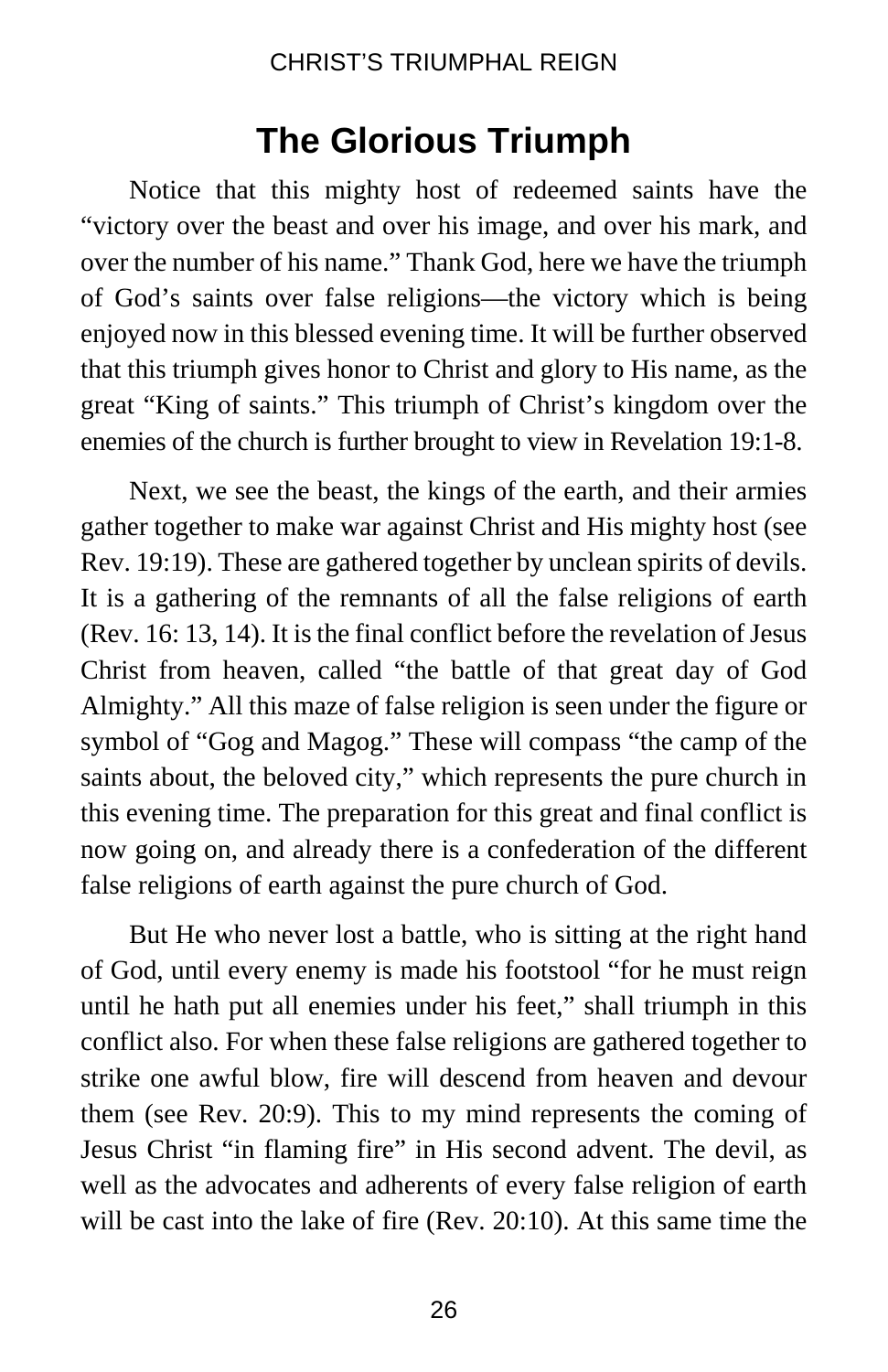## **The Glorious Triumph**

Notice that this mighty host of redeemed saints have the "victory over the beast and over his image, and over his mark, and over the number of his name." Thank God, here we have the triumph of God's saints over false religions—the victory which is being enjoyed now in this blessed evening time. It will be further observed that this triumph gives honor to Christ and glory to His name, as the great "King of saints." This triumph of Christ's kingdom over the enemies of the church is further brought to view in Revelation 19:1-8.

Next, we see the beast, the kings of the earth, and their armies gather together to make war against Christ and His mighty host (see Rev. 19:19). These are gathered together by unclean spirits of devils. It is a gathering of the remnants of all the false religions of earth (Rev. 16: 13, 14). It is the final conflict before the revelation of Jesus Christ from heaven, called "the battle of that great day of God Almighty." All this maze of false religion is seen under the figure or symbol of "Gog and Magog." These will compass "the camp of the saints about, the beloved city," which represents the pure church in this evening time. The preparation for this great and final conflict is now going on, and already there is a confederation of the different false religions of earth against the pure church of God.

But He who never lost a battle, who is sitting at the right hand of God, until every enemy is made his footstool "for he must reign until he hath put all enemies under his feet," shall triumph in this conflict also. For when these false religions are gathered together to strike one awful blow, fire will descend from heaven and devour them (see Rev. 20:9). This to my mind represents the coming of Jesus Christ "in flaming fire" in His second advent. The devil, as well as the advocates and adherents of every false religion of earth will be cast into the lake of fire (Rev. 20:10). At this same time the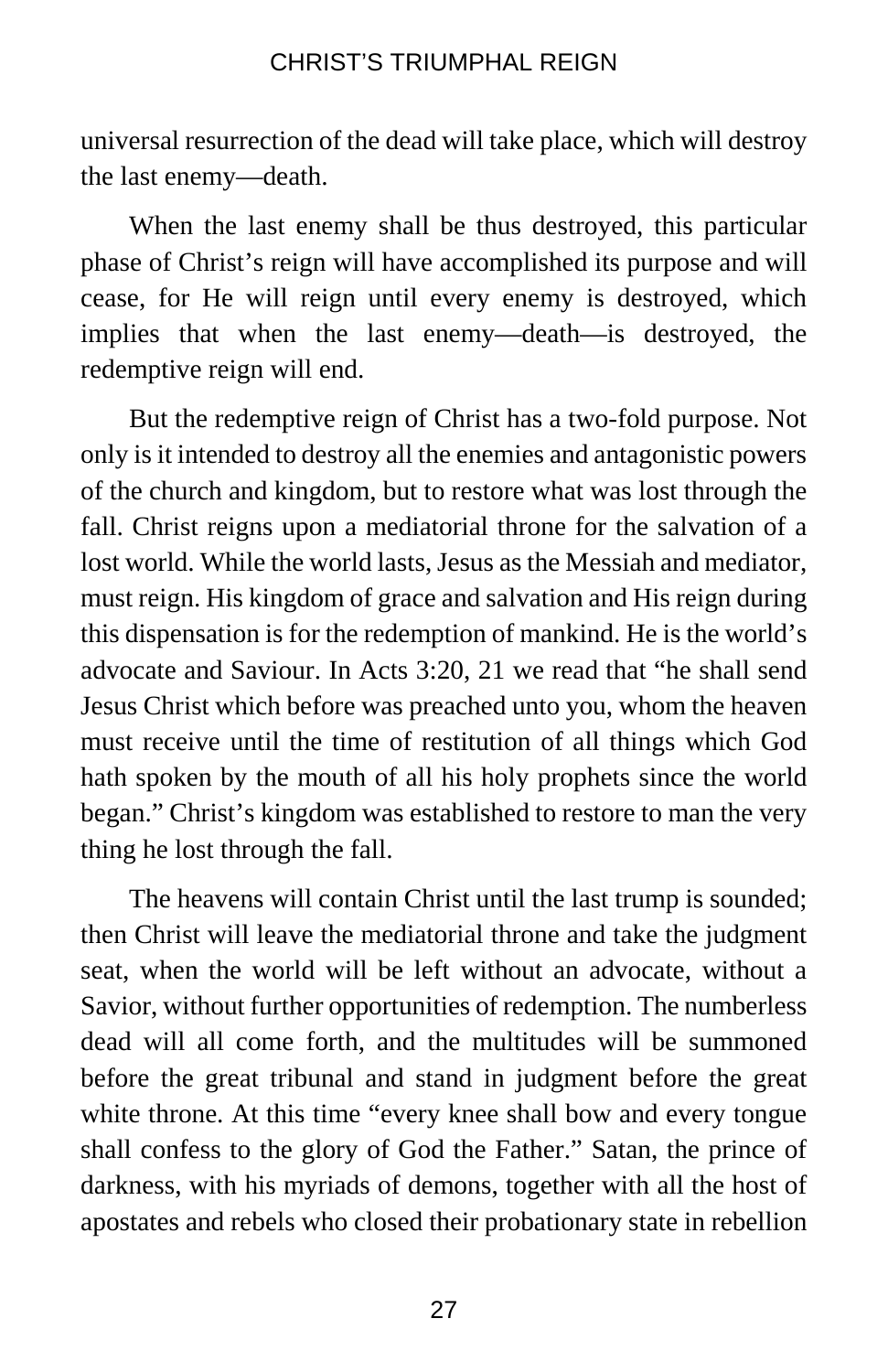universal resurrection of the dead will take place, which will destroy the last enemy—death.

When the last enemy shall be thus destroyed, this particular phase of Christ's reign will have accomplished its purpose and will cease, for He will reign until every enemy is destroyed, which implies that when the last enemy—death—is destroyed, the redemptive reign will end.

But the redemptive reign of Christ has a two-fold purpose. Not only is it intended to destroy all the enemies and antagonistic powers of the church and kingdom, but to restore what was lost through the fall. Christ reigns upon a mediatorial throne for the salvation of a lost world. While the world lasts, Jesus as the Messiah and mediator, must reign. His kingdom of grace and salvation and His reign during this dispensation is for the redemption of mankind. He is the world's advocate and Saviour. In Acts 3:20, 21 we read that "he shall send Jesus Christ which before was preached unto you, whom the heaven must receive until the time of restitution of all things which God hath spoken by the mouth of all his holy prophets since the world began." Christ's kingdom was established to restore to man the very thing he lost through the fall.

The heavens will contain Christ until the last trump is sounded; then Christ will leave the mediatorial throne and take the judgment seat, when the world will be left without an advocate, without a Savior, without further opportunities of redemption. The numberless dead will all come forth, and the multitudes will be summoned before the great tribunal and stand in judgment before the great white throne. At this time "every knee shall bow and every tongue shall confess to the glory of God the Father." Satan, the prince of darkness, with his myriads of demons, together with all the host of apostates and rebels who closed their probationary state in rebellion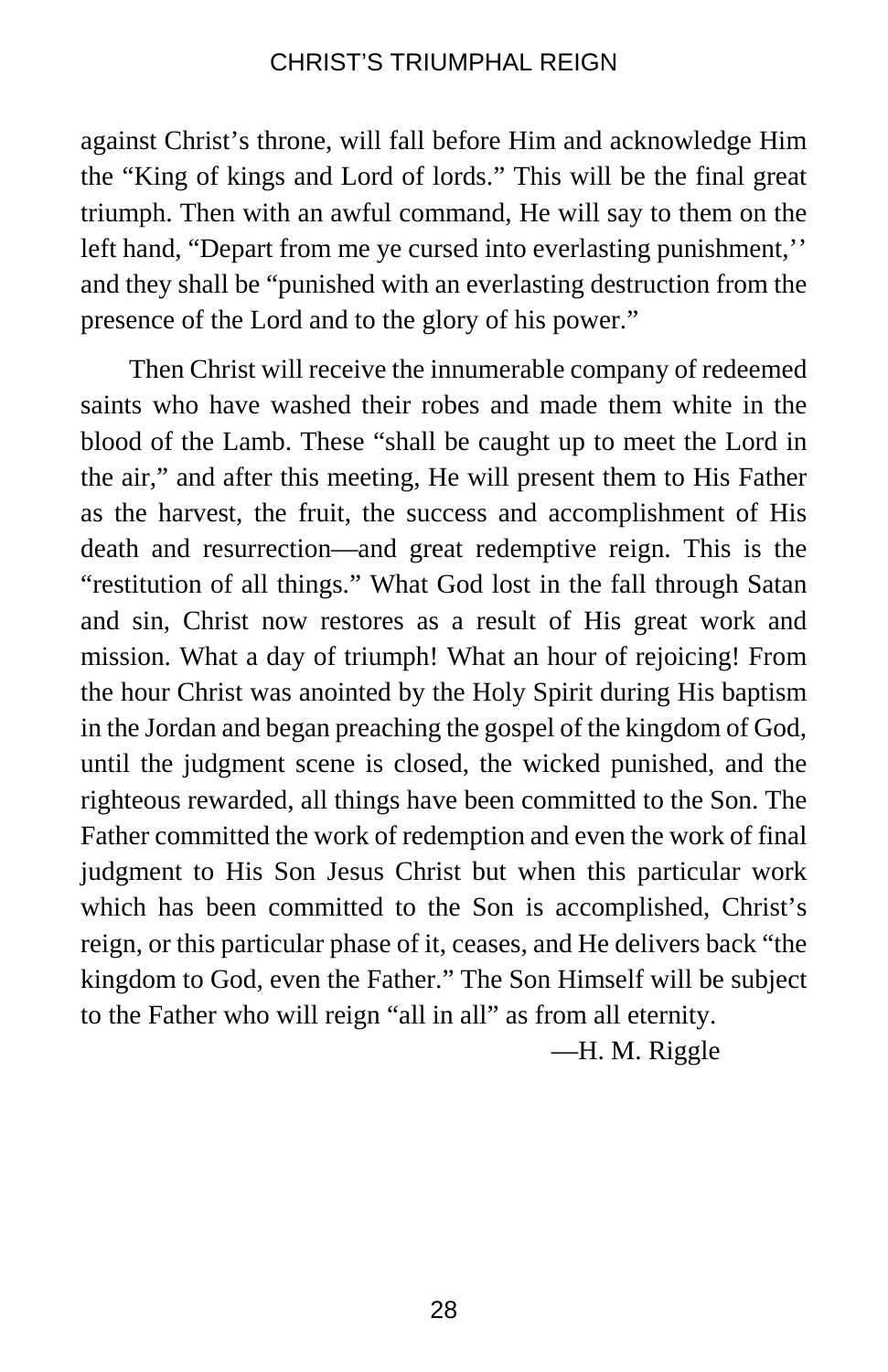against Christ's throne, will fall before Him and acknowledge Him the "King of kings and Lord of lords." This will be the final great triumph. Then with an awful command, He will say to them on the left hand, "Depart from me ye cursed into everlasting punishment,'' and they shall be "punished with an everlasting destruction from the presence of the Lord and to the glory of his power."

Then Christ will receive the innumerable company of redeemed saints who have washed their robes and made them white in the blood of the Lamb. These "shall be caught up to meet the Lord in the air," and after this meeting, He will present them to His Father as the harvest, the fruit, the success and accomplishment of His death and resurrection—and great redemptive reign. This is the "restitution of all things." What God lost in the fall through Satan and sin, Christ now restores as a result of His great work and mission. What a day of triumph! What an hour of rejoicing! From the hour Christ was anointed by the Holy Spirit during His baptism in the Jordan and began preaching the gospel of the kingdom of God, until the judgment scene is closed, the wicked punished, and the righteous rewarded, all things have been committed to the Son. The Father committed the work of redemption and even the work of final judgment to His Son Jesus Christ but when this particular work which has been committed to the Son is accomplished, Christ's reign, or this particular phase of it, ceases, and He delivers back "the kingdom to God, even the Father." The Son Himself will be subject to the Father who will reign "all in all" as from all eternity.

—H. M. Riggle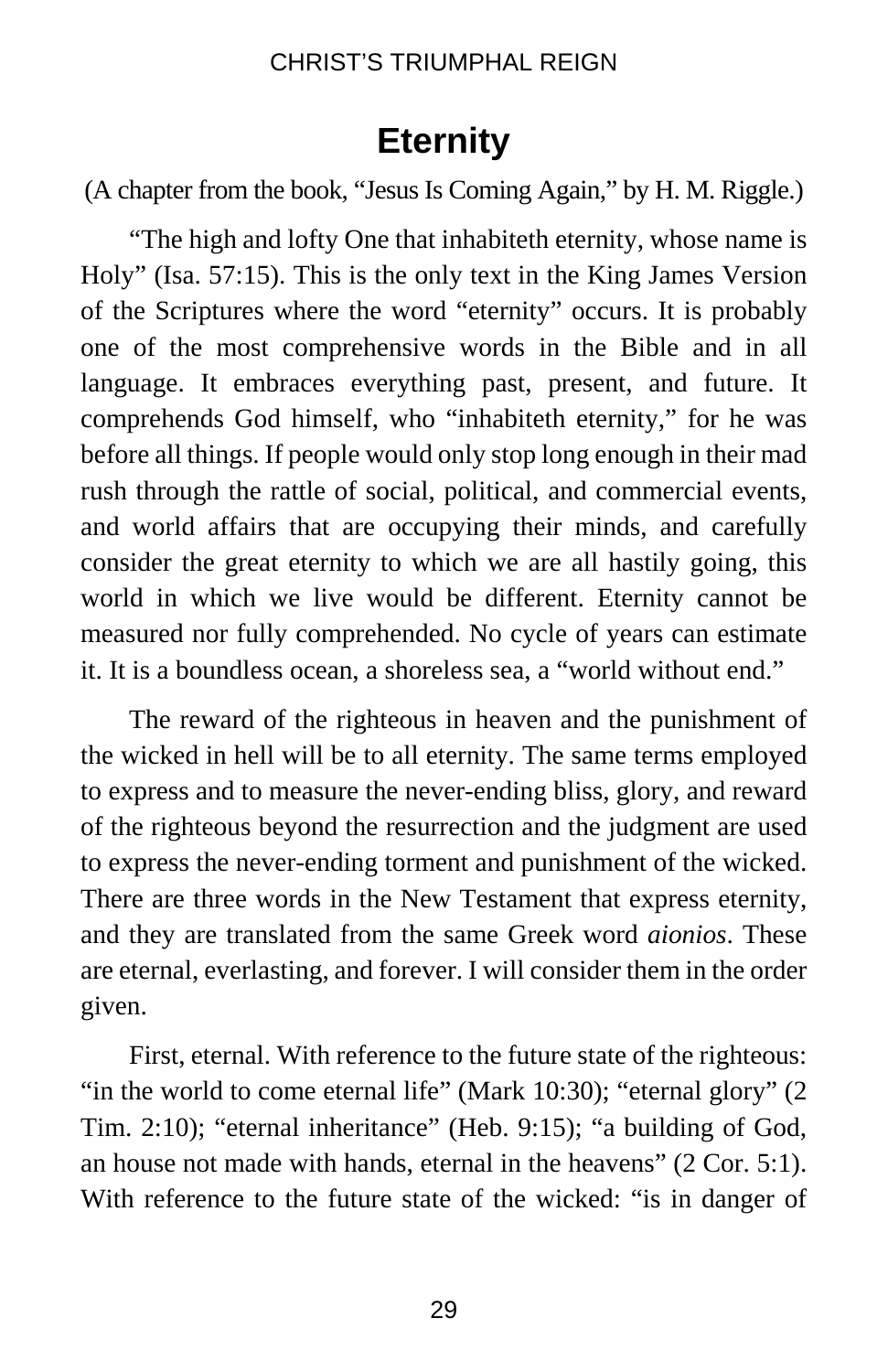# **Eternity**

(A chapter from the book, "Jesus Is Coming Again," by H. M. Riggle.)

"The high and lofty One that inhabiteth eternity, whose name is Holy" (Isa. 57:15). This is the only text in the King James Version of the Scriptures where the word "eternity" occurs. It is probably one of the most comprehensive words in the Bible and in all language. It embraces everything past, present, and future. It comprehends God himself, who "inhabiteth eternity," for he was before all things. If people would only stop long enough in their mad rush through the rattle of social, political, and commercial events, and world affairs that are occupying their minds, and carefully consider the great eternity to which we are all hastily going, this world in which we live would be different. Eternity cannot be measured nor fully comprehended. No cycle of years can estimate it. It is a boundless ocean, a shoreless sea, a "world without end."

The reward of the righteous in heaven and the punishment of the wicked in hell will be to all eternity. The same terms employed to express and to measure the never-ending bliss, glory, and reward of the righteous beyond the resurrection and the judgment are used to express the never-ending torment and punishment of the wicked. There are three words in the New Testament that express eternity, and they are translated from the same Greek word *aionios*. These are eternal, everlasting, and forever. I will consider them in the order given.

First, eternal. With reference to the future state of the righteous: "in the world to come eternal life" (Mark 10:30); "eternal glory" (2 Tim. 2:10); "eternal inheritance" (Heb. 9:15); "a building of God, an house not made with hands, eternal in the heavens" (2 Cor. 5:1). With reference to the future state of the wicked: "is in danger of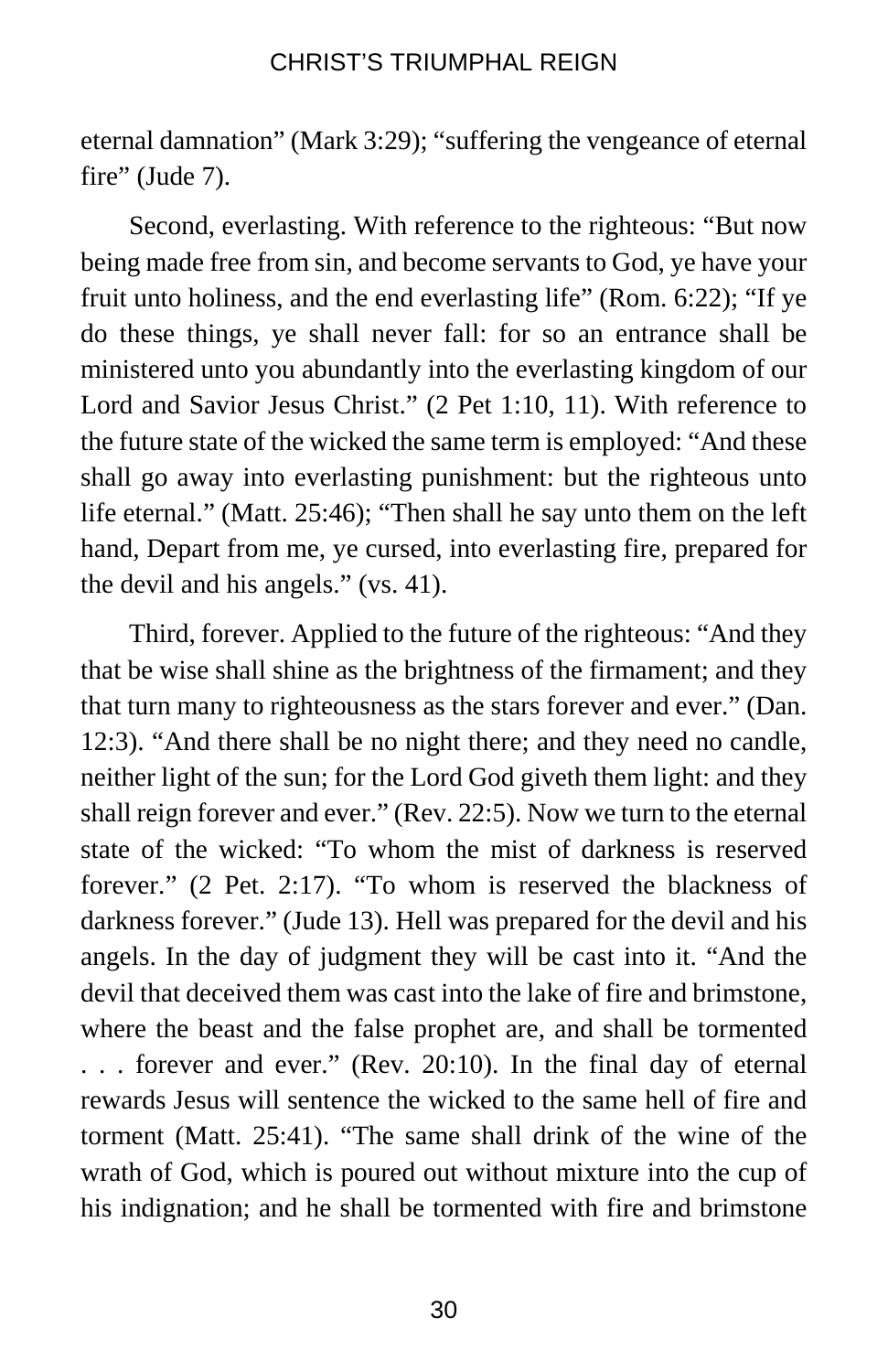eternal damnation" (Mark 3:29); "suffering the vengeance of eternal fire" (Jude 7).

Second, everlasting. With reference to the righteous: "But now being made free from sin, and become servants to God, ye have your fruit unto holiness, and the end everlasting life" (Rom. 6:22); "If ye do these things, ye shall never fall: for so an entrance shall be ministered unto you abundantly into the everlasting kingdom of our Lord and Savior Jesus Christ." (2 Pet 1:10, 11). With reference to the future state of the wicked the same term is employed: "And these shall go away into everlasting punishment: but the righteous unto life eternal." (Matt. 25:46); "Then shall he say unto them on the left hand, Depart from me, ye cursed, into everlasting fire, prepared for the devil and his angels." (vs. 41).

Third, forever. Applied to the future of the righteous: "And they that be wise shall shine as the brightness of the firmament; and they that turn many to righteousness as the stars forever and ever." (Dan. 12:3). "And there shall be no night there; and they need no candle, neither light of the sun; for the Lord God giveth them light: and they shall reign forever and ever." (Rev. 22:5). Now we turn to the eternal state of the wicked: "To whom the mist of darkness is reserved forever." (2 Pet. 2:17). "To whom is reserved the blackness of darkness forever." (Jude 13). Hell was prepared for the devil and his angels. In the day of judgment they will be cast into it. "And the devil that deceived them was cast into the lake of fire and brimstone, where the beast and the false prophet are, and shall be tormented . . . forever and ever." (Rev. 20:10). In the final day of eternal rewards Jesus will sentence the wicked to the same hell of fire and torment (Matt. 25:41). "The same shall drink of the wine of the wrath of God, which is poured out without mixture into the cup of his indignation; and he shall be tormented with fire and brimstone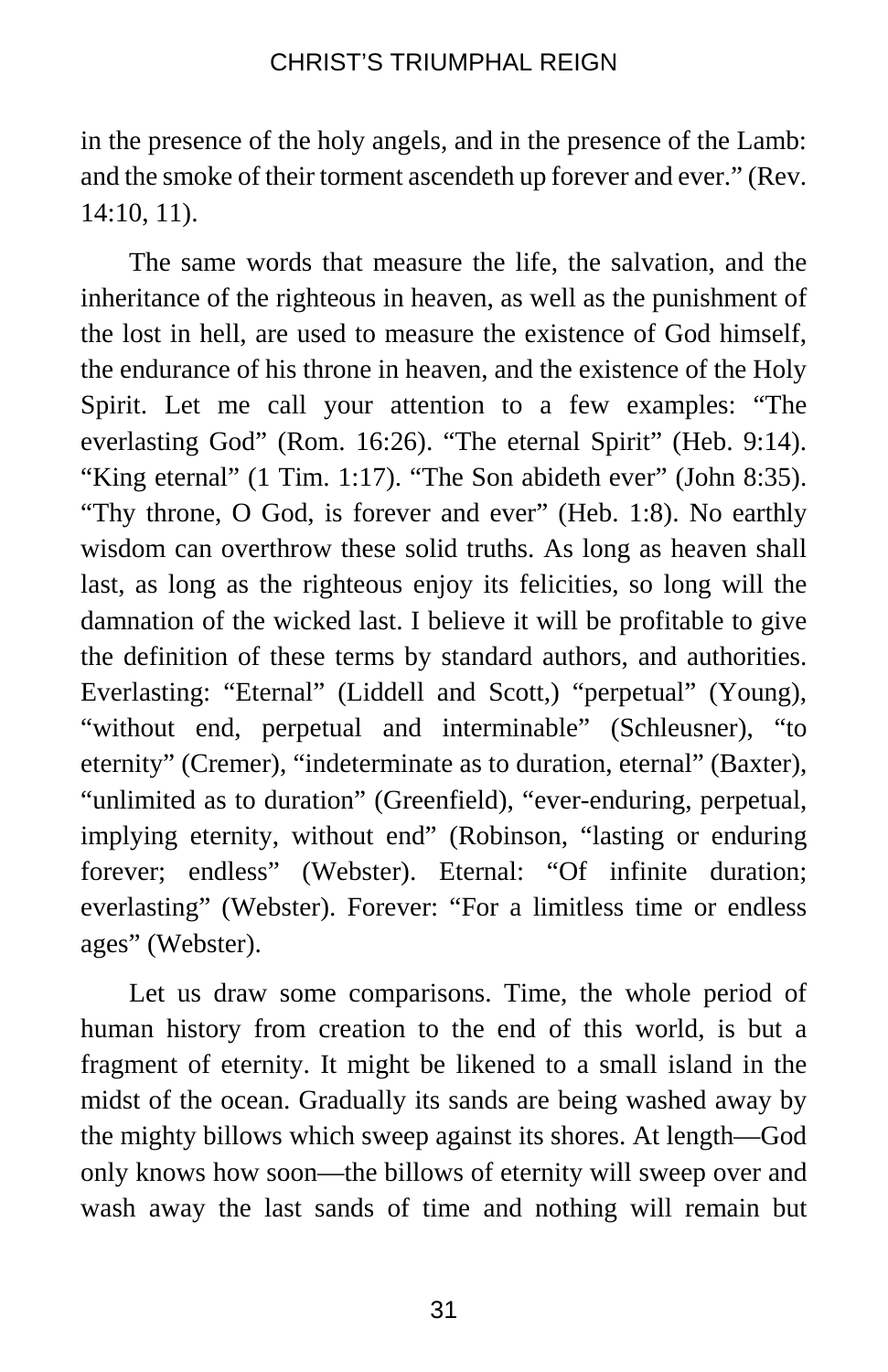in the presence of the holy angels, and in the presence of the Lamb: and the smoke of their torment ascendeth up forever and ever." (Rev. 14:10, 11).

The same words that measure the life, the salvation, and the inheritance of the righteous in heaven, as well as the punishment of the lost in hell, are used to measure the existence of God himself, the endurance of his throne in heaven, and the existence of the Holy Spirit. Let me call your attention to a few examples: "The everlasting God" (Rom. 16:26). "The eternal Spirit" (Heb. 9:14). "King eternal" (1 Tim. 1:17). "The Son abideth ever" (John 8:35). "Thy throne, O God, is forever and ever" (Heb. 1:8). No earthly wisdom can overthrow these solid truths. As long as heaven shall last, as long as the righteous enjoy its felicities, so long will the damnation of the wicked last. I believe it will be profitable to give the definition of these terms by standard authors, and authorities. Everlasting: "Eternal" (Liddell and Scott,) "perpetual" (Young), "without end, perpetual and interminable" (Schleusner), "to eternity" (Cremer), "indeterminate as to duration, eternal" (Baxter), "unlimited as to duration" (Greenfield), "ever-enduring, perpetual, implying eternity, without end" (Robinson, "lasting or enduring forever; endless" (Webster). Eternal: "Of infinite duration; everlasting" (Webster). Forever: "For a limitless time or endless ages" (Webster).

Let us draw some comparisons. Time, the whole period of human history from creation to the end of this world, is but a fragment of eternity. It might be likened to a small island in the midst of the ocean. Gradually its sands are being washed away by the mighty billows which sweep against its shores. At length—God only knows how soon—the billows of eternity will sweep over and wash away the last sands of time and nothing will remain but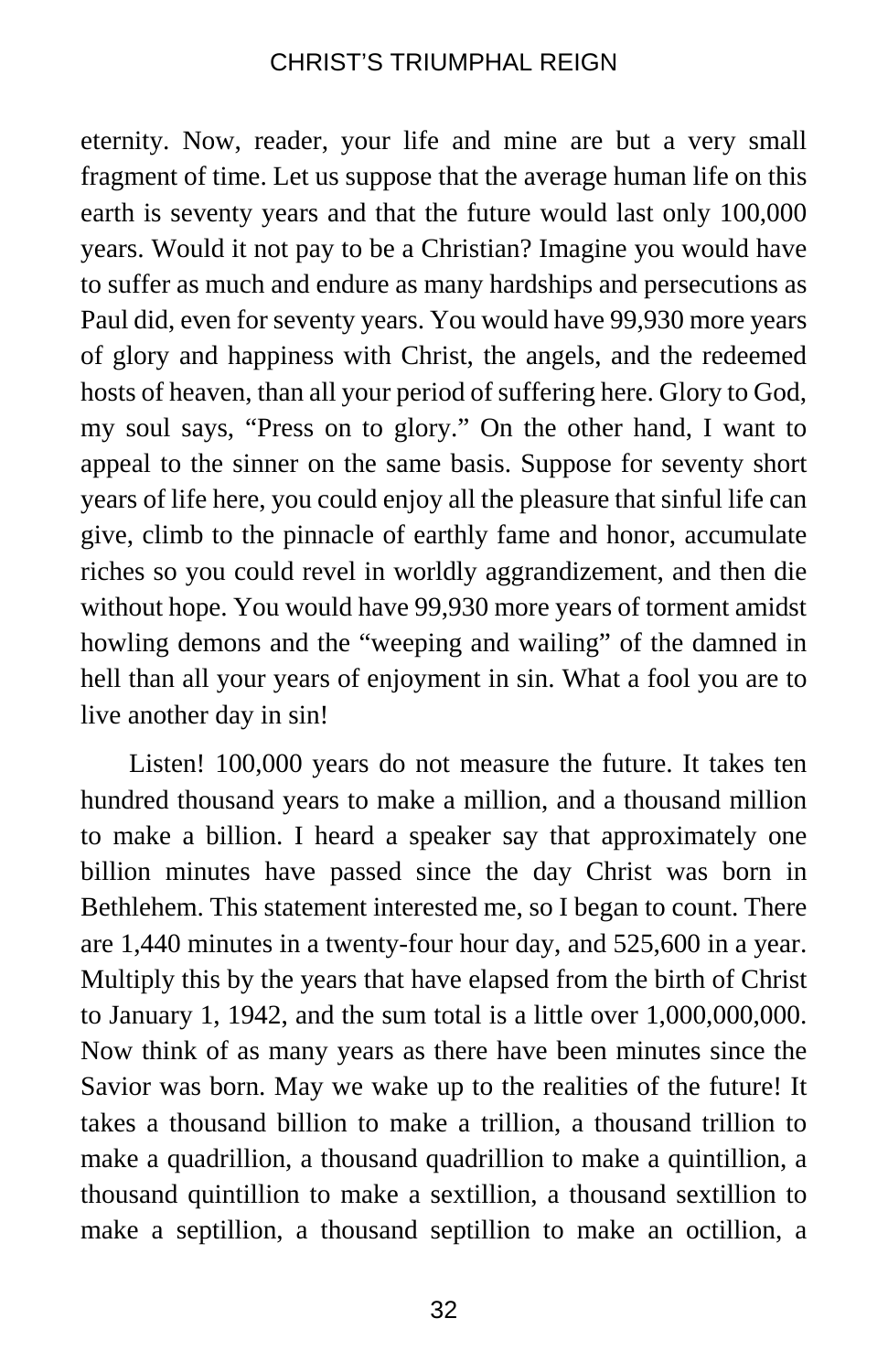eternity. Now, reader, your life and mine are but a very small fragment of time. Let us suppose that the average human life on this earth is seventy years and that the future would last only 100,000 years. Would it not pay to be a Christian? Imagine you would have to suffer as much and endure as many hardships and persecutions as Paul did, even for seventy years. You would have 99,930 more years of glory and happiness with Christ, the angels, and the redeemed hosts of heaven, than all your period of suffering here. Glory to God, my soul says, "Press on to glory." On the other hand, I want to appeal to the sinner on the same basis. Suppose for seventy short years of life here, you could enjoy all the pleasure that sinful life can give, climb to the pinnacle of earthly fame and honor, accumulate riches so you could revel in worldly aggrandizement, and then die without hope. You would have 99,930 more years of torment amidst howling demons and the "weeping and wailing" of the damned in hell than all your years of enjoyment in sin. What a fool you are to live another day in sin!

Listen! 100,000 years do not measure the future. It takes ten hundred thousand years to make a million, and a thousand million to make a billion. I heard a speaker say that approximately one billion minutes have passed since the day Christ was born in Bethlehem. This statement interested me, so I began to count. There are 1,440 minutes in a twenty-four hour day, and 525,600 in a year. Multiply this by the years that have elapsed from the birth of Christ to January 1, 1942, and the sum total is a little over  $1,000,000,000$ . Now think of as many years as there have been minutes since the Savior was born. May we wake up to the realities of the future! It takes a thousand billion to make a trillion, a thousand trillion to make a quadrillion, a thousand quadrillion to make a quintillion, a thousand quintillion to make a sextillion, a thousand sextillion to make a septillion, a thousand septillion to make an octillion, a

32